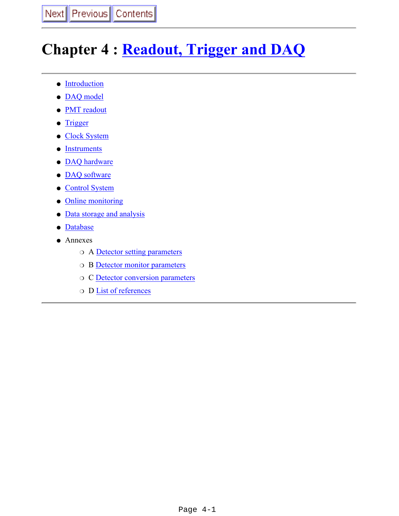# **Chapter 4 : Readout, Trigger and DAQ**

- Introduction
- DAQ model
- PMT readout
- Trigger
- Clock System
- **Instruments**
- DAQ hardware
- DAQ software
- Control System
- Online monitoring
- Data storage and analysis
- Database
- Annexes
	- ❍ A Detector setting parameters
	- ❍ B Detector monitor parameters
	- ❍ C Detector conversion parameters
	- ❍ D List of references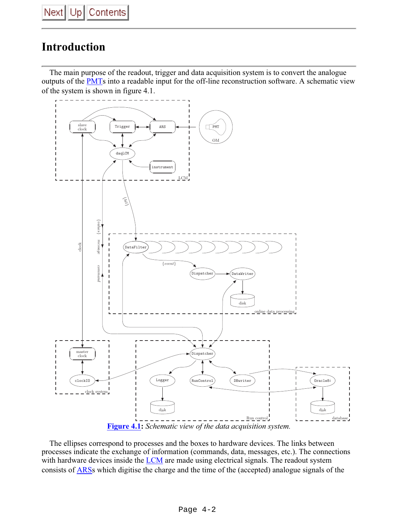# **Introduction**

 The main purpose of the readout, trigger and data acquisition system is to convert the analogue outputs of the **PMT**s into a readable input for the off-line reconstruction software. A schematic view of the system is shown in figure 4.1.



**Figure 4.1:** *Schematic view of the data acquisition system.*

 The ellipses correspond to processes and the boxes to hardware devices. The links between processes indicate the exchange of information (commands, data, messages, etc.). The connections with hardware devices inside the  $LCM$  are made using electrical signals. The readout system</u> consists of ARSs which digitise the charge and the time of the (accepted) analogue signals of the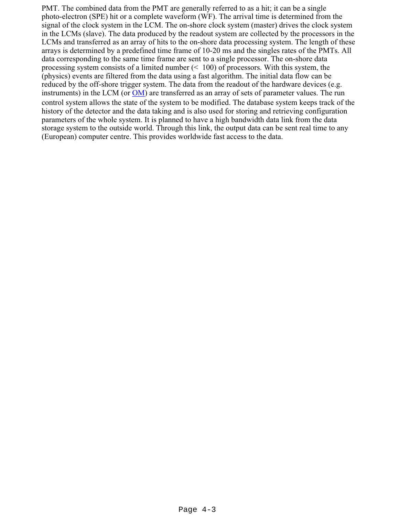PMT. The combined data from the PMT are generally referred to as a hit; it can be a single photo-electron (SPE) hit or a complete waveform (WF). The arrival time is determined from the signal of the clock system in the LCM. The on-shore clock system (master) drives the clock system in the LCMs (slave). The data produced by the readout system are collected by the processors in the LCMs and transferred as an array of hits to the on-shore data processing system. The length of these arrays is determined by a predefined time frame of 10-20 ms and the singles rates of the PMTs. All data corresponding to the same time frame are sent to a single processor. The on-shore data processing system consists of a limited number  $( $100$ ) of processors. With this system, the$ (physics) events are filtered from the data using a fast algorithm. The initial data flow can be reduced by the off-shore trigger system. The data from the readout of the hardware devices (e.g. instruments) in the LCM (or OM) are transferred as an array of sets of parameter values. The run control system allows the state of the system to be modified. The database system keeps track of the history of the detector and the data taking and is also used for storing and retrieving configuration parameters of the whole system. It is planned to have a high bandwidth data link from the data storage system to the outside world. Through this link, the output data can be sent real time to any (European) computer centre. This provides worldwide fast access to the data.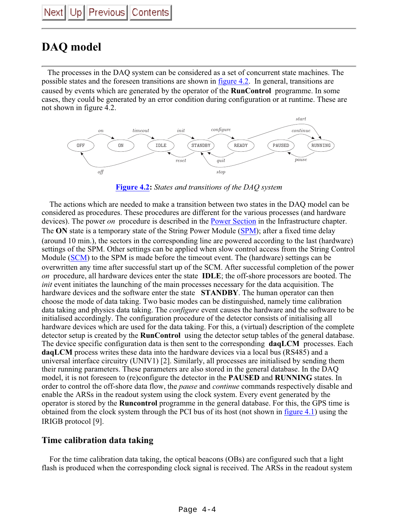# **DAQ model**

 The processes in the DAQ system can be considered as a set of concurrent state machines. The possible states and the foreseen transitions are shown in figure 4.2. In general, transitions are caused by events which are generated by the operator of the **RunControl** programme. In some cases, they could be generated by an error condition during configuration or at runtime. These are not shown in figure 4.2.



**Figure 4.2:** *States and transitions of the DAQ system*

 The actions which are needed to make a transition between two states in the DAQ model can be considered as procedures. These procedures are different for the various processes (and hardware devices). The power *on* procedure is described in the Power Section in the Infrastructure chapter. The **ON** state is a temporary state of the String Power Module (SPM); after a fixed time delay (around 10 min.), the sectors in the corresponding line are powered according to the last (hardware) settings of the SPM. Other settings can be applied when slow control access from the String Control Module (SCM) to the SPM is made before the timeout event. The (hardware) settings can be overwritten any time after successful start up of the SCM. After successful completion of the power *on* procedure, all hardware devices enter the state **IDLE**; the off-shore processors are booted. The *init* event initiates the launching of the main processes necessary for the data acquisition. The hardware devices and the software enter the state **STANDBY**. The human operator can then choose the mode of data taking. Two basic modes can be distinguished, namely time calibration data taking and physics data taking. The *configure* event causes the hardware and the software to be initialised accordingly. The configuration procedure of the detector consists of initialising all hardware devices which are used for the data taking. For this, a (virtual) description of the complete detector setup is created by the **RunControl** using the detector setup tables of the general database. The device specific configuration data is then sent to the corresponding **daqLCM** processes. Each **daqLCM** process writes these data into the hardware devices via a local bus (RS485) and a universal interface circuitry (UNIV1) [2]. Similarly, all processes are initialised by sending them their running parameters. These parameters are also stored in the general database. In the DAQ model, it is not foreseen to (re)configure the detector in the **PAUSED** and **RUNNING** states. In order to control the off-shore data flow, the *pause* and *continue* commands respectively disable and enable the ARSs in the readout system using the clock system. Every event generated by the operator is stored by the **Runcontrol** programme in the general database. For this, the GPS time is obtained from the clock system through the PCI bus of its host (not shown in figure 4.1) using the IRIGB protocol [9].

#### **Time calibration data taking**

 For the time calibration data taking, the optical beacons (OBs) are configured such that a light flash is produced when the corresponding clock signal is received. The ARSs in the readout system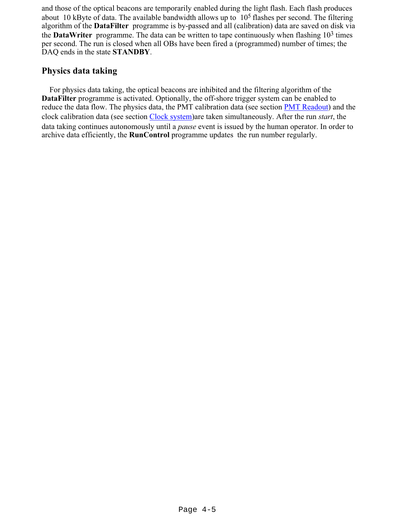and those of the optical beacons are temporarily enabled during the light flash. Each flash produces about 10 kByte of data. The available bandwidth allows up to 105 flashes per second. The filtering algorithm of the **DataFilter** programme is by-passed and all (calibration) data are saved on disk via the **DataWriter** programme. The data can be written to tape continuously when flashing 10<sup>3</sup> times per second. The run is closed when all OBs have been fired a (programmed) number of times; the DAQ ends in the state **STANDBY**.

#### **Physics data taking**

 For physics data taking, the optical beacons are inhibited and the filtering algorithm of the **DataFilter** programme is activated. Optionally, the off-shore trigger system can be enabled to reduce the data flow. The physics data, the PMT calibration data (see section **PMT Readout**) and the clock calibration data (see section Clock system)are taken simultaneously. After the run *start*, the data taking continues autonomously until a *pause* event is issued by the human operator. In order to archive data efficiently, the **RunControl** programme updates the run number regularly.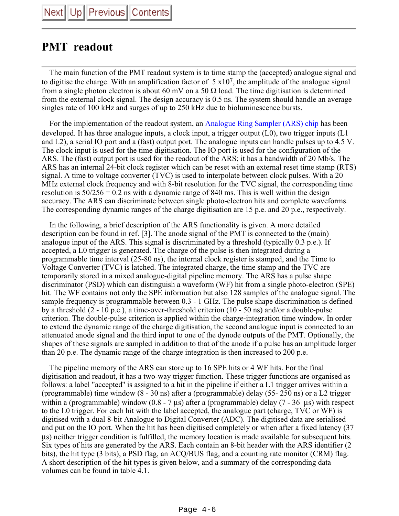# **PMT readout**

 The main function of the PMT readout system is to time stamp the (accepted) analogue signal and to digitise the charge. With an amplification factor of  $5 \times 10^7$ , the amplitude of the analogue signal from a single photon electron is about 60 mV on a 50  $\Omega$  load. The time digitisation is determined from the external clock signal. The design accuracy is 0.5 ns. The system should handle an average singles rate of 100 kHz and surges of up to 250 kHz due to bioluminescence bursts.

 For the implementation of the readout system, an Analogue Ring Sampler (ARS) chip has been developed. It has three analogue inputs, a clock input, a trigger output (L0), two trigger inputs (L1 and L2), a serial IO port and a (fast) output port. The analogue inputs can handle pulses up to 4.5 V. The clock input is used for the time digitisation. The IO port is used for the configuration of the ARS. The (fast) output port is used for the readout of the ARS; it has a bandwidth of 20 Mb/s. The ARS has an internal 24-bit clock register which can be reset with an external reset time stamp (RTS) signal. A time to voltage converter (TVC) is used to interpolate between clock pulses. With a 20 MHz external clock frequency and with 8-bit resolution for the TVC signal, the corresponding time resolution is  $50/256 = 0.2$  ns with a dynamic range of 840 ms. This is well within the design accuracy. The ARS can discriminate between single photo-electron hits and complete waveforms. The corresponding dynamic ranges of the charge digitisation are 15 p.e. and 20 p.e., respectively.

 In the following, a brief description of the ARS functionality is given. A more detailed description can be found in ref. [3]. The anode signal of the PMT is connected to the (main) analogue input of the ARS. This signal is discriminated by a threshold (typically 0.3 p.e.). If accepted, a L0 trigger is generated. The charge of the pulse is then integrated during a programmable time interval (25-80 ns), the internal clock register is stamped, and the Time to Voltage Converter (TVC) is latched. The integrated charge, the time stamp and the TVC are temporarily stored in a mixed analogue-digital pipeline memory. The ARS has a pulse shape discriminator (PSD) which can distinguish a waveform (WF) hit from a single photo-electron (SPE) hit. The WF contains not only the SPE information but also 128 samples of the analogue signal. The sample frequency is programmable between 0.3 - 1 GHz. The pulse shape discrimination is defined by a threshold (2 - 10 p.e.), a time-over-threshold criterion (10 - 50 ns) and/or a double-pulse criterion. The double-pulse criterion is applied within the charge-integration time window. In order to extend the dynamic range of the charge digitisation, the second analogue input is connected to an attenuated anode signal and the third input to one of the dynode outputs of the PMT. Optionally, the shapes of these signals are sampled in addition to that of the anode if a pulse has an amplitude larger than 20 p.e. The dynamic range of the charge integration is then increased to 200 p.e.

 The pipeline memory of the ARS can store up to 16 SPE hits or 4 WF hits. For the final digitisation and readout, it has a two-way trigger function. These trigger functions are organised as follows: a label "accepted'' is assigned to a hit in the pipeline if either a L1 trigger arrives within a (programmable) time window (8 - 30 ns) after a (programmable) delay (55- 250 ns) or a L2 trigger within a (programmable) window (0.8 - 7 µs) after a (programmable) delay (7 - 36 µs) with respect to the L0 trigger. For each hit with the label accepted, the analogue part (charge, TVC or WF) is digitised with a dual 8-bit Analogue to Digital Converter (ADC). The digitised data are serialised and put on the IO port. When the hit has been digitised completely or when after a fixed latency (37 µs) neither trigger condition is fulfilled, the memory location is made available for subsequent hits. Six types of hits are generated by the ARS. Each contain an 8-bit header with the ARS identifier (2 bits), the hit type (3 bits), a PSD flag, an ACQ/BUS flag, and a counting rate monitor (CRM) flag. A short description of the hit types is given below, and a summary of the corresponding data volumes can be found in table 4.1.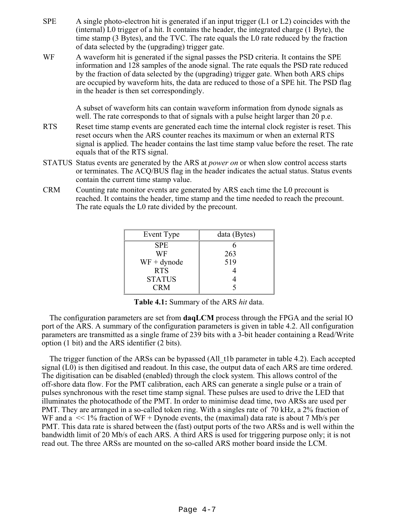- SPE A single photo-electron hit is generated if an input trigger (L1 or L2) coincides with the (internal) L0 trigger of a hit. It contains the header, the integrated charge (1 Byte), the time stamp (3 Bytes), and the TVC. The rate equals the L0 rate reduced by the fraction of data selected by the (upgrading) trigger gate.
- WF A waveform hit is generated if the signal passes the PSD criteria. It contains the SPE information and 128 samples of the anode signal. The rate equals the PSD rate reduced by the fraction of data selected by the (upgrading) trigger gate. When both ARS chips are occupied by waveform hits, the data are reduced to those of a SPE hit. The PSD flag in the header is then set correspondingly.

A subset of waveform hits can contain waveform information from dynode signals as well. The rate corresponds to that of signals with a pulse height larger than 20 p.e.

- RTS Reset time stamp events are generated each time the internal clock register is reset. This reset occurs when the ARS counter reaches its maximum or when an external RTS signal is applied. The header contains the last time stamp value before the reset. The rate equals that of the RTS signal.
- STATUS Status events are generated by the ARS at *power on* or when slow control access starts or terminates. The ACQ/BUS flag in the header indicates the actual status. Status events contain the current time stamp value.
- CRM Counting rate monitor events are generated by ARS each time the L0 precount is reached. It contains the header, time stamp and the time needed to reach the precount. The rate equals the L0 rate divided by the precount.

| Event Type    | data (Bytes) |
|---------------|--------------|
| <b>SPE</b>    |              |
| WF            | 263          |
| $WF + dynode$ | 519          |
| <b>RTS</b>    |              |
| <b>STATUS</b> |              |
| CRM           |              |

**Table 4.1:** Summary of the ARS *hit* data.

 The configuration parameters are set from **daqLCM** process through the FPGA and the serial IO port of the ARS. A summary of the configuration parameters is given in table 4.2. All configuration parameters are transmitted as a single frame of 239 bits with a 3-bit header containing a Read/Write option (1 bit) and the ARS identifier (2 bits).

The trigger function of the ARSs can be bypassed (All t1b parameter in table 4.2). Each accepted signal (L0) is then digitised and readout. In this case, the output data of each ARS are time ordered. The digitisation can be disabled (enabled) through the clock system. This allows control of the off-shore data flow. For the PMT calibration, each ARS can generate a single pulse or a train of pulses synchronous with the reset time stamp signal. These pulses are used to drive the LED that illuminates the photocathode of the PMT. In order to minimise dead time, two ARSs are used per PMT. They are arranged in a so-called token ring. With a singles rate of 70 kHz, a 2% fraction of WF and a  $\leq$  1% fraction of WF + Dynode events, the (maximal) data rate is about 7 Mb/s per PMT. This data rate is shared between the (fast) output ports of the two ARSs and is well within the bandwidth limit of 20 Mb/s of each ARS. A third ARS is used for triggering purpose only; it is not read out. The three ARSs are mounted on the so-called ARS mother board inside the LCM.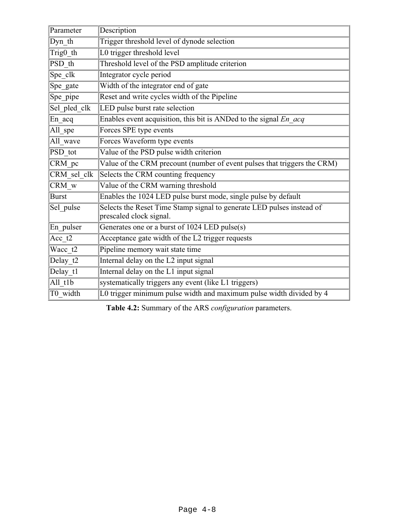| Parameter    | Description                                                                                      |
|--------------|--------------------------------------------------------------------------------------------------|
| Dyn th       | Trigger threshold level of dynode selection                                                      |
| Trig0 th     | L0 trigger threshold level                                                                       |
| PSD th       | Threshold level of the PSD amplitude criterion                                                   |
| Spe clk      | Integrator cycle period                                                                          |
| Spe_gate     | Width of the integrator end of gate                                                              |
| Spe_pipe     | Reset and write cycles width of the Pipeline                                                     |
| Sel pled clk | LED pulse burst rate selection                                                                   |
| En acq       | Enables event acquisition, this bit is ANDed to the signal <i>En acq</i>                         |
| All spe      | Forces SPE type events                                                                           |
| All wave     | Forces Waveform type events                                                                      |
| PSD tot      | Value of the PSD pulse width criterion                                                           |
| CRM pc       | Value of the CRM precount (number of event pulses that triggers the CRM)                         |
| CRM sel clk  | Selects the CRM counting frequency                                                               |
| CRM w        | Value of the CRM warning threshold                                                               |
| <b>Burst</b> | Enables the 1024 LED pulse burst mode, single pulse by default                                   |
| Sel pulse    | Selects the Reset Time Stamp signal to generate LED pulses instead of<br>prescaled clock signal. |
| En pulser    | Generates one or a burst of 1024 LED pulse(s)                                                    |
| Acc t2       | Acceptance gate width of the L2 trigger requests                                                 |
| Wacc t2      | Pipeline memory wait state time                                                                  |
| Delay t2     | Internal delay on the L2 input signal                                                            |
| Delay_t1     | Internal delay on the L1 input signal                                                            |
| All tlb      | systematically triggers any event (like L1 triggers)                                             |
| T0 width     | L0 trigger minimum pulse width and maximum pulse width divided by 4                              |

**Table 4.2:** Summary of the ARS *configuration* parameters.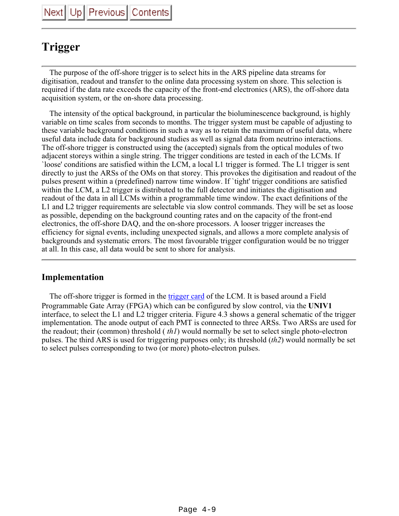# **Trigger**

 The purpose of the off-shore trigger is to select hits in the ARS pipeline data streams for digitisation, readout and transfer to the online data processing system on shore. This selection is required if the data rate exceeds the capacity of the front-end electronics (ARS), the off-shore data acquisition system, or the on-shore data processing.

 The intensity of the optical background, in particular the bioluminescence background, is highly variable on time scales from seconds to months. The trigger system must be capable of adjusting to these variable background conditions in such a way as to retain the maximum of useful data, where useful data include data for background studies as well as signal data from neutrino interactions. The off-shore trigger is constructed using the (accepted) signals from the optical modules of two adjacent storeys within a single string. The trigger conditions are tested in each of the LCMs. If `loose' conditions are satisfied within the LCM, a local L1 trigger is formed. The L1 trigger is sent directly to just the ARSs of the OMs on that storey. This provokes the digitisation and readout of the pulses present within a (predefined) narrow time window. If `tight' trigger conditions are satisfied within the LCM, a L2 trigger is distributed to the full detector and initiates the digitisation and readout of the data in all LCMs within a programmable time window. The exact definitions of the L1 and L2 trigger requirements are selectable via slow control commands. They will be set as loose as possible, depending on the background counting rates and on the capacity of the front-end electronics, the off-shore DAQ, and the on-shore processors. A looser trigger increases the efficiency for signal events, including unexpected signals, and allows a more complete analysis of backgrounds and systematic errors. The most favourable trigger configuration would be no trigger at all. In this case, all data would be sent to shore for analysis.

### **Implementation**

 The off-shore trigger is formed in the trigger card of the LCM. It is based around a Field Programmable Gate Array (FPGA) which can be configured by slow control, via the **UNIV1** interface, to select the L1 and L2 trigger criteria. Figure 4.3 shows a general schematic of the trigger implementation. The anode output of each PMT is connected to three ARSs. Two ARSs are used for the readout; their (common) threshold ( *th1*) would normally be set to select single photo-electron pulses. The third ARS is used for triggering purposes only; its threshold (*th2*) would normally be set to select pulses corresponding to two (or more) photo-electron pulses.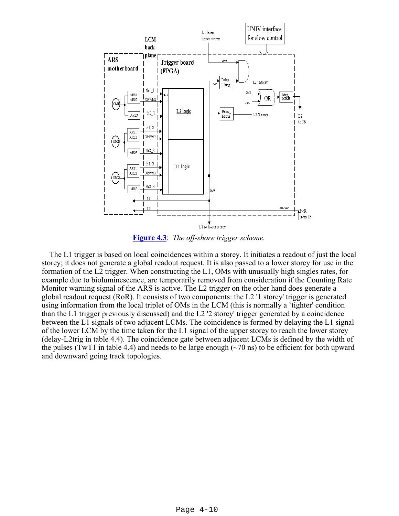

**Figure 4.3**: *The off-shore trigger scheme.*

 The L1 trigger is based on local coincidences within a storey. It initiates a readout of just the local storey; it does not generate a global readout request. It is also passed to a lower storey for use in the formation of the L2 trigger. When constructing the L1, OMs with unusually high singles rates, for example due to bioluminescence, are temporarily removed from consideration if the Counting Rate Monitor warning signal of the ARS is active. The L2 trigger on the other hand does generate a global readout request (RoR). It consists of two components: the L2 '1 storey' trigger is generated using information from the local triplet of OMs in the LCM (this is normally a `tighter' condition than the L1 trigger previously discussed) and the L2 '2 storey' trigger generated by a coincidence between the L1 signals of two adjacent LCMs. The coincidence is formed by delaying the L1 signal of the lower LCM by the time taken for the L1 signal of the upper storey to reach the lower storey (delay-L2trig in table 4.4). The coincidence gate between adjacent LCMs is defined by the width of the pulses (TwT1 in table 4.4) and needs to be large enough ( $\sim$ 70 ns) to be efficient for both upward and downward going track topologies.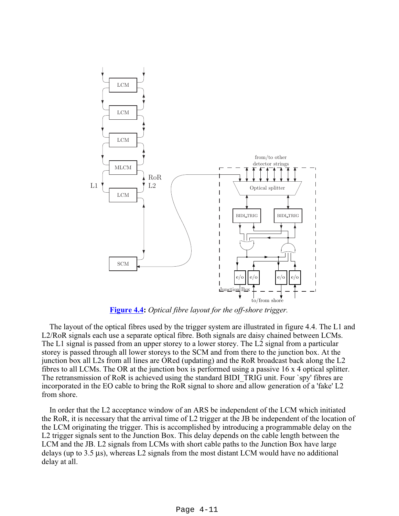

**Figure 4.4:** *Optical fibre layout for the off-shore trigger.*

 The layout of the optical fibres used by the trigger system are illustrated in figure 4.4. The L1 and L2/RoR signals each use a separate optical fibre. Both signals are daisy chained between LCMs. The L1 signal is passed from an upper storey to a lower storey. The L2 signal from a particular storey is passed through all lower storeys to the SCM and from there to the junction box. At the junction box all L2s from all lines are ORed (updating) and the RoR broadcast back along the L2 fibres to all LCMs. The OR at the junction box is performed using a passive 16 x 4 optical splitter. The retransmission of RoR is achieved using the standard BIDI\_TRIG unit. Four `spy' fibres are incorporated in the EO cable to bring the RoR signal to shore and allow generation of a 'fake' L2 from shore.

 In order that the L2 acceptance window of an ARS be independent of the LCM which initiated the RoR, it is necessary that the arrival time of L2 trigger at the JB be independent of the location of the LCM originating the trigger. This is accomplished by introducing a programmable delay on the L2 trigger signals sent to the Junction Box. This delay depends on the cable length between the LCM and the JB. L2 signals from LCMs with short cable paths to the Junction Box have large delays (up to 3.5 µs), whereas L2 signals from the most distant LCM would have no additional delay at all.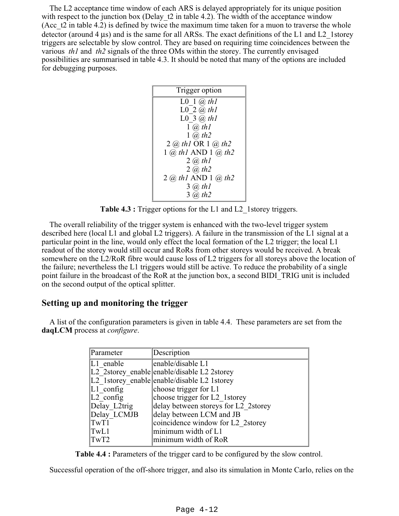The L2 acceptance time window of each ARS is delayed appropriately for its unique position with respect to the junction box (Delay t2 in table 4.2). The width of the acceptance window (Acc\_t2 in table 4.2) is defined by twice the maximum time taken for a muon to traverse the whole detector (around 4 µs) and is the same for all ARSs. The exact definitions of the L1 and L2 1storey triggers are selectable by slow control. They are based on requiring time coincidences between the various *th1* and *th2* signals of the three OMs within the storey. The currently envisaged possibilities are summarised in table 4.3. It should be noted that many of the options are included for debugging purposes.



**Table 4.3 :** Trigger options for the L1 and L2\_1storey triggers.

 The overall reliability of the trigger system is enhanced with the two-level trigger system described here (local L1 and global L2 triggers). A failure in the transmission of the L1 signal at a particular point in the line, would only effect the local formation of the L2 trigger; the local L1 readout of the storey would still occur and RoRs from other storeys would be received. A break somewhere on the L2/RoR fibre would cause loss of L2 triggers for all storeys above the location of the failure; nevertheless the L1 triggers would still be active. To reduce the probability of a single point failure in the broadcast of the RoR at the junction box, a second BIDI\_TRIG unit is included on the second output of the optical splitter.

#### **Setting up and monitoring the trigger**

 A list of the configuration parameters is given in table 4.4. These parameters are set from the **daqLCM** process at *configure*.

| Parameter            | Description                                 |
|----------------------|---------------------------------------------|
| L1 enable            | enable/disable L1                           |
|                      | L2 2storey enable enable/disable L2 2storey |
|                      | L2 1storey enable enable/disable L2 1storey |
| $ L1 \t{config}$     | choose trigger for L1                       |
| $ L2 \rangle$ config | choose trigger for L2_1storey               |
| Delay L2trig         | delay between storeys for L2 2storey        |
| Delay LCMJB          | delay between LCM and JB                    |
| TwT1                 | coincidence window for L2 2storey           |
| TwL1                 | minimum width of L1                         |
| TwT2                 | minimum width of RoR                        |

**Table 4.4 :** Parameters of the trigger card to be configured by the slow control.

Successful operation of the off-shore trigger, and also its simulation in Monte Carlo, relies on the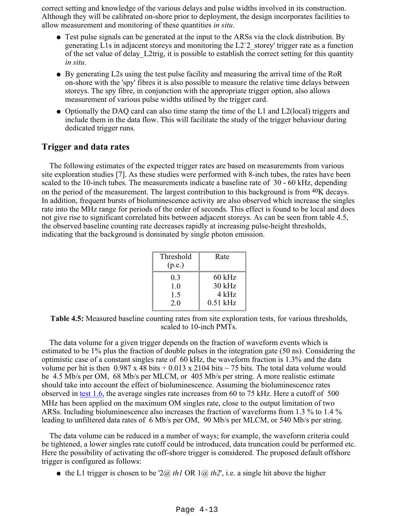correct setting and knowledge of the various delays and pulse widths involved in its construction. Although they will be calibrated on-shore prior to deployment, the design incorporates facilities to allow measurement and monitoring of these quantities *in situ*.

- Test pulse signals can be generated at the input to the ARSs via the clock distribution. By generating L1s in adjacent storeys and monitoring the L2 $2$  storey' trigger rate as a function of the set value of delay\_L2trig, it is possible to establish the correct setting for this quantity *in situ*.
- By generating L2s using the test pulse facility and measuring the arrival time of the RoR on-shore with the 'spy' fibres it is also possible to measure the relative time delays between storeys. The spy fibre, in conjunction with the appropriate trigger option, also allows measurement of various pulse widths utilised by the trigger card.
- Optionally the DAQ card can also time stamp the time of the L1 and L2(local) triggers and include them in the data flow. This will facilitate the study of the trigger behaviour during dedicated trigger runs.

#### **Trigger and data rates**

 The following estimates of the expected trigger rates are based on measurements from various site exploration studies [7]. As these studies were performed with 8-inch tubes, the rates have been scaled to the 10-inch tubes. The measurements indicate a baseline rate of 30 - 60 kHz, depending on the period of the measurement. The largest contribution to this background is from <sup>40</sup>K decays. In addition, frequent bursts of bioluminescence activity are also observed which increase the singles rate into the MHz range for periods of the order of seconds. This effect is found to be local and does not give rise to significant correlated hits between adjacent storeys. As can be seen from table 4.5, the observed baseline counting rate decreases rapidly at increasing pulse-height thresholds, indicating that the background is dominated by single photon emission.

| Threshold<br>(p.e.) | Rate             |
|---------------------|------------------|
| 0.3                 | $60 \text{ kHz}$ |
| 1.0                 | $30$ kHz         |
| 1.5                 | 4 kHz            |
| 2.0                 | $0.51$ kHz       |

**Table 4.5:** Measured baseline counting rates from site exploration tests, for various thresholds, scaled to 10-inch PMTs.

 The data volume for a given trigger depends on the fraction of waveform events which is estimated to be 1% plus the fraction of double pulses in the integration gate (50 ns). Considering the optimistic case of a constant singles rate of 60 kHz, the waveform fraction is 1.3% and the data volume per hit is then  $0.987 \times 48$  bits + 0.013 x 2104 bits ~ 75 bits. The total data volume would be 4.5 Mb/s per OM, 68 Mb/s per MLCM, or 405 Mb/s per string. A more realistic estimate should take into account the effect of bioluminescence. Assuming the bioluminescence rates observed in test 1.6, the average singles rate increases from 60 to 75 kHz. Here a cutoff of 500 MHz has been applied on the maximum OM singles rate, close to the output limitation of two ARSs. Including bioluminescence also increases the fraction of waveforms from 1.3 % to 1.4 % leading to unfiltered data rates of 6 Mb/s per OM, 90 Mb/s per MLCM, or 540 Mb/s per string.

 The data volume can be reduced in a number of ways; for example, the waveform criteria could be tightened, a lower singles rate cutoff could be introduced, data truncation could be performed etc. Here the possibility of activating the off-shore trigger is considered. The proposed default offshore trigger is configured as follows:

• the L1 trigger is chosen to be '2@ *th1* OR  $1@$  *th2*', i.e. a single hit above the higher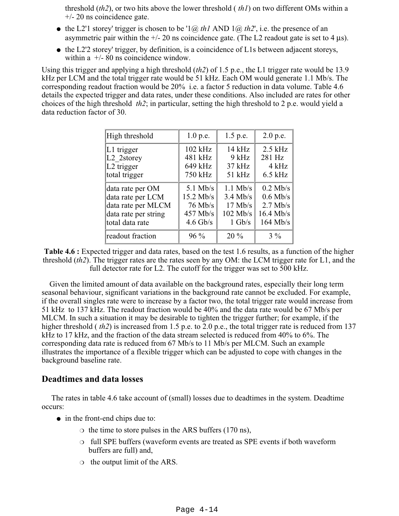threshold (*th2*), or two hits above the lower threshold ( *th1*) on two different OMs within a +/- 20 ns coincidence gate.

- the L2'1 storey' trigger is chosen to be '1 $@$  *th1* AND 1 $@$  *th2*', i.e. the presence of an asymmetric pair within the  $+/- 20$  ns coincidence gate. (The L2 readout gate is set to 4  $\mu$ s).
- the L2'2 storey' trigger, by definition, is a coincidence of L1s between adjacent storeys, within a  $+/- 80$  ns coincidence window.

Using this trigger and applying a high threshold (*th2*) of 1.5 p.e., the L1 trigger rate would be 13.9 kHz per LCM and the total trigger rate would be 51 kHz. Each OM would generate 1.1 Mb/s. The corresponding readout fraction would be 20% i.e. a factor 5 reduction in data volume. Table 4.6 details the expected trigger and data rates, under these conditions. Also included are rates for other choices of the high threshold *th2*; in particular, setting the high threshold to 2 p.e. would yield a data reduction factor of 30.

| High threshold         | 1.0 p.e.    | $1.5$ p.e.      | 2.0 p.e.    |
|------------------------|-------------|-----------------|-------------|
| L1 trigger             | $102$ kHz   | $14$ kHz        | $2.5$ kHz   |
| $ L2 \t2storey$        | 481 kHz     | $9$ kHz         | 281 Hz      |
| L <sub>2</sub> trigger | 649 kHz     | $37$ kHz        | 4 kHz       |
| total trigger          | 750 kHz     | $51$ kHz        | $6.5$ kHz   |
| data rate per OM       | $5.1$ Mb/s  | $1.1$ Mb/s      | $0.2$ Mb/s  |
| data rate per LCM      | $15.2$ Mb/s | $3.4$ Mb/s      | $0.6$ Mb/s  |
| data rate per MLCM     | $76$ Mb/s   | $17$ Mb/s       | $2.7$ Mb/s  |
| data rate per string   | $457$ Mb/s  | $102$ Mb/s      | $16.4$ Mb/s |
| total data rate        | $4.6$ Gb/s  | $1 \text{Gb/s}$ | $164$ Mb/s  |
| readout fraction       | $96\%$      | $20\%$          | $3\%$       |

**Table 4.6 :** Expected trigger and data rates, based on the test 1.6 results, as a function of the higher threshold (*th2*). The trigger rates are the rates seen by any OM: the LCM trigger rate for L1, and the full detector rate for L2. The cutoff for the trigger was set to 500 kHz.

 Given the limited amount of data available on the background rates, especially their long term seasonal behaviour, significant variations in the background rate cannot be excluded. For example, if the overall singles rate were to increase by a factor two, the total trigger rate would increase from 51 kHz to 137 kHz. The readout fraction would be 40% and the data rate would be 67 Mb/s per MLCM. In such a situation it may be desirable to tighten the trigger further; for example, if the higher threshold (*th2*) is increased from 1.5 p.e. to 2.0 p.e., the total trigger rate is reduced from 137 kHz to 17 kHz, and the fraction of the data stream selected is reduced from 40% to 6%. The corresponding data rate is reduced from 67 Mb/s to 11 Mb/s per MLCM. Such an example illustrates the importance of a flexible trigger which can be adjusted to cope with changes in the background baseline rate.

#### **Deadtimes and data losses**

 The rates in table 4.6 take account of (small) losses due to deadtimes in the system. Deadtime occurs:

- in the front-end chips due to:
	- ❍ the time to store pulses in the ARS buffers (170 ns),
	- $\circ$  full SPE buffers (waveform events are treated as SPE events if both waveform buffers are full) and,
	- ❍ the output limit of the ARS.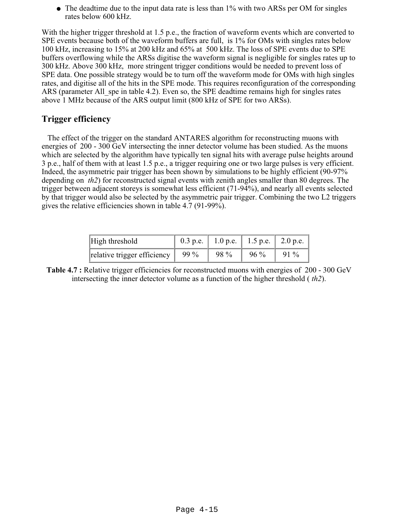• The deadtime due to the input data rate is less than 1% with two ARSs per OM for singles rates below 600 kHz.

With the higher trigger threshold at 1.5 p.e., the fraction of waveform events which are converted to SPE events because both of the waveform buffers are full, is 1% for OMs with singles rates below 100 kHz, increasing to 15% at 200 kHz and 65% at 500 kHz. The loss of SPE events due to SPE buffers overflowing while the ARSs digitise the waveform signal is negligible for singles rates up to 300 kHz. Above 300 kHz, more stringent trigger conditions would be needed to prevent loss of SPE data. One possible strategy would be to turn off the waveform mode for OMs with high singles rates, and digitise all of the hits in the SPE mode. This requires reconfiguration of the corresponding ARS (parameter All spe in table 4.2). Even so, the SPE deadtime remains high for singles rates above 1 MHz because of the ARS output limit (800 kHz of SPE for two ARSs).

#### **Trigger efficiency**

 The effect of the trigger on the standard ANTARES algorithm for reconstructing muons with energies of 200 - 300 GeV intersecting the inner detector volume has been studied. As the muons which are selected by the algorithm have typically ten signal hits with average pulse heights around 3 p.e., half of them with at least 1.5 p.e., a trigger requiring one or two large pulses is very efficient. Indeed, the asymmetric pair trigger has been shown by simulations to be highly efficient (90-97% depending on *th2*) for reconstructed signal events with zenith angles smaller than 80 degrees. The trigger between adjacent storeys is somewhat less efficient (71-94%), and nearly all events selected by that trigger would also be selected by the asymmetric pair trigger. Combining the two L2 triggers gives the relative efficiencies shown in table 4.7 (91-99%).

| High threshold              |      | 0.3 p.e.   1.0 p.e.   1.5 p.e.   2.0 p.e. |        |        |
|-----------------------------|------|-------------------------------------------|--------|--------|
| relative trigger efficiency | 99 % | 98 %                                      | $96\%$ | $91\%$ |

Table 4.7 : Relative trigger efficiencies for reconstructed muons with energies of 200 - 300 GeV intersecting the inner detector volume as a function of the higher threshold ( *th2*).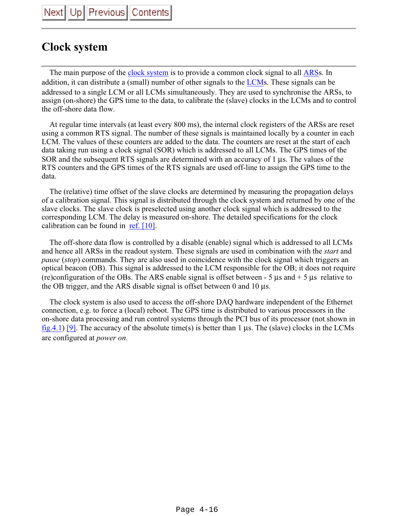## **Clock system**

The main purpose of the clock system is to provide a common clock signal to all ARSs. In addition, it can distribute a (small) number of other signals to the LCMs. These signals can be addressed to a single LCM or all LCMs simultaneously. They are used to synchronise the ARSs, to assign (on-shore) the GPS time to the data, to calibrate the (slave) clocks in the LCMs and to control the off-shore data flow.

 At regular time intervals (at least every 800 ms), the internal clock registers of the ARSs are reset using a common RTS signal. The number of these signals is maintained locally by a counter in each LCM. The values of these counters are added to the data. The counters are reset at the start of each data taking run using a clock signal (SOR) which is addressed to all LCMs. The GPS times of the SOR and the subsequent RTS signals are determined with an accuracy of 1 µs. The values of the RTS counters and the GPS times of the RTS signals are used off-line to assign the GPS time to the data.

 The (relative) time offset of the slave clocks are determined by measuring the propagation delays of a calibration signal. This signal is distributed through the clock system and returned by one of the slave clocks. The slave clock is preselected using another clock signal which is addressed to the corresponding LCM. The delay is measured on-shore. The detailed specifications for the clock calibration can be found in ref. [10].

 The off-shore data flow is controlled by a disable (enable) signal which is addressed to all LCMs and hence all ARSs in the readout system. These signals are used in combination with the *start* and *pause* (*stop*) commands. They are also used in coincidence with the clock signal which triggers an optical beacon (OB). This signal is addressed to the LCM responsible for the OB; it does not require (re)configuration of the OBs. The ARS enable signal is offset between  $-5 \text{ } \mu \text{s}$  and  $+5 \text{ } \mu \text{s}$  relative to the OB trigger, and the ARS disable signal is offset between 0 and 10 µs.

 The clock system is also used to access the off-shore DAQ hardware independent of the Ethernet connection, e.g. to force a (local) reboot. The GPS time is distributed to various processors in the on-shore data processing and run control systems through the PCI bus of its processor (not shown in fig.4.1) [9]. The accuracy of the absolute time(s) is better than 1 µs. The (slave) clocks in the LCMs are configured at *power on*.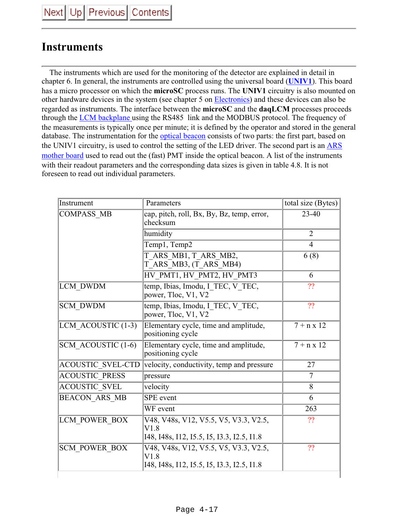# **Instruments**

 The instruments which are used for the monitoring of the detector are explained in detail in chapter 6. In general, the instruments are controlled using the universal board (**UNIV1**). This board has a micro processor on which the **microSC** process runs. The **UNIV1** circuitry is also mounted on other hardware devices in the system (see chapter 5 on Electronics) and these devices can also be regarded as instruments. The interface between the **microSC** and the **daqLCM** processes proceeds through the **LCM** backplane using the RS485 link and the MODBUS protocol. The frequency of the measurements is typically once per minute; it is defined by the operator and stored in the general database. The instrumentation for the optical beacon consists of two parts: the first part, based on the UNIV1 circuitry, is used to control the setting of the LED driver. The second part is an ARS mother board used to read out the (fast) PMT inside the optical beacon. A list of the instruments with their readout parameters and the corresponding data sizes is given in table 4.8. It is not foreseen to read out individual parameters.

| Instrument            | Parameters                                                                                  | total size (Bytes) |
|-----------------------|---------------------------------------------------------------------------------------------|--------------------|
| <b>COMPASS_MB</b>     | cap, pitch, roll, Bx, By, Bz, temp, error,<br>checksum                                      | $23 - 40$          |
|                       | humidity                                                                                    | 2                  |
|                       | Temp1, Temp2                                                                                | $\overline{4}$     |
|                       | T ARS MB1, T ARS MB2,<br>T ARS MB3, (T ARS MB4)                                             | 6(8)               |
|                       | HV PMT1, HV PMT2, HV PMT3                                                                   | 6                  |
| LCM DWDM              | temp, Ibias, Imodu, I TEC, V TEC,<br>power, Tloc, V1, V2                                    | ??                 |
| <b>SCM DWDM</b>       | temp, Ibias, Imodu, I TEC, V TEC,<br>power, Tloc, V1, V2                                    | ??                 |
| LCM ACOUSTIC (1-3)    | Elementary cycle, time and amplitude,<br>positioning cycle                                  | $7 + n \times 12$  |
| SCM ACOUSTIC (1-6)    | Elementary cycle, time and amplitude,<br>positioning cycle                                  | $7 + n \times 12$  |
| ACOUSTIC SVEL-CTD     | velocity, conductivity, temp and pressure                                                   | 27                 |
| <b>ACOUSTIC PRESS</b> | pressure                                                                                    | 7                  |
| <b>ACOUSTIC SVEL</b>  | velocity                                                                                    | 8                  |
| <b>BEACON ARS MB</b>  | SPE event                                                                                   | 6                  |
|                       | WF event                                                                                    | 263                |
| LCM POWER BOX         | V48, V48s, V12, V5.5, V5, V3.3, V2.5,<br>V1.8<br>I48, I48s, I12, I5.5, I5, I3.3, I2.5, I1.8 | ??                 |
| <b>SCM POWER BOX</b>  | V48, V48s, V12, V5.5, V5, V3.3, V2.5,<br>V1.8<br>148, 148s, 112, 15.5, 15, 13.3, 12.5, 11.8 | ??                 |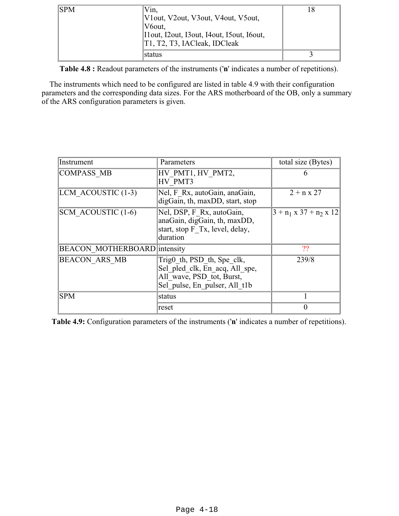| <b>SPM</b> | Vin,<br>Vlout, V2out, V3out, V4out, V5out,<br> V6out,<br>Ilout, I2out, I3out, I4out, I5out, I6out,<br>T1, T2, T3, IACleak, IDCleak |  |
|------------|------------------------------------------------------------------------------------------------------------------------------------|--|
|            | Istatus                                                                                                                            |  |

**Table 4.8 :** Readout parameters of the instruments ('**n**' indicates a number of repetitions).

 The instruments which need to be configured are listed in table 4.9 with their configuration parameters and the corresponding data sizes. For the ARS motherboard of the OB, only a summary of the ARS configuration parameters is given.

| Instrument                          | Parameters                                                                                                                 | total size (Bytes)                    |
|-------------------------------------|----------------------------------------------------------------------------------------------------------------------------|---------------------------------------|
| <b>COMPASS MB</b>                   | HV PMT1, HV PMT2,<br>HV PMT3                                                                                               | 6                                     |
| LCM ACOUSTIC (1-3)                  | Nel, F Rx, autoGain, anaGain,<br>digGain, th, maxDD, start, stop                                                           | $2 + n \times 27$                     |
| SCM ACOUSTIC (1-6)                  | Nel, DSP, F Rx, autoGain,<br>anaGain, digGain, th, maxDD,<br>start, stop F Tx, level, delay,<br>duration                   | $ 3 + n_1 \times 37 + n_2 \times 12 $ |
| <b>BEACON MOTHERBOARD</b> intensity |                                                                                                                            | ??                                    |
| <b>BEACON ARS MB</b>                | Trig0 th, PSD th, Spe clk,<br>Sel pled clk, En acq, All spe,<br>All wave, PSD tot, Burst,<br>Sel pulse, En pulser, All t1b | 239/8                                 |
| <b>SPM</b>                          | status                                                                                                                     |                                       |
|                                     | reset                                                                                                                      | $\theta$                              |

**Table 4.9:** Configuration parameters of the instruments ('**n**' indicates a number of repetitions).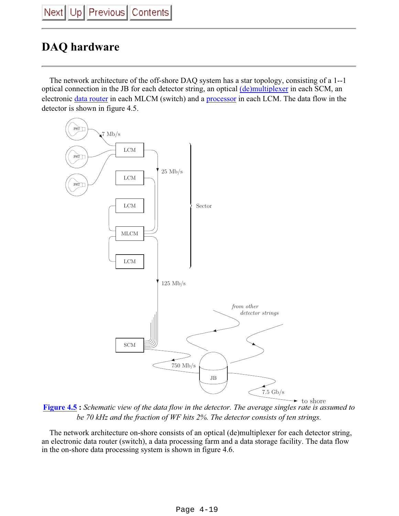

# **DAQ hardware**

 The network architecture of the off-shore DAQ system has a star topology, consisting of a 1--1 optical connection in the JB for each detector string, an optical (de)multiplexer in each SCM, an electronic data router in each MLCM (switch) and a processor in each LCM. The data flow in the detector is shown in figure 4.5.



**Figure 4.5 :** *Schematic view of the data flow in the detector. The average singles rate is assumed to be 70 kHz and the fraction of WF hits 2%. The detector consists of ten strings.*

 The network architecture on-shore consists of an optical (de)multiplexer for each detector string, an electronic data router (switch), a data processing farm and a data storage facility. The data flow in the on-shore data processing system is shown in figure 4.6.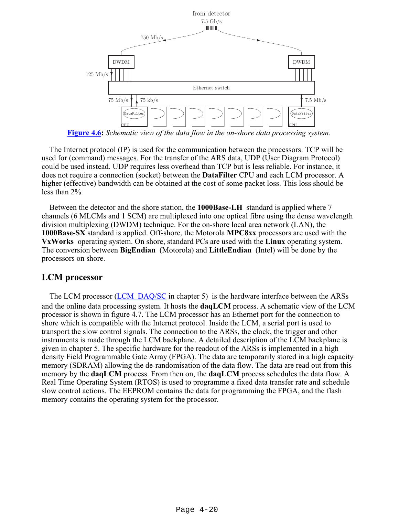

**Figure 4.6:** *Schematic view of the data flow in the on-shore data processing system.*

 The Internet protocol (IP) is used for the communication between the processors. TCP will be used for (command) messages. For the transfer of the ARS data, UDP (User Diagram Protocol) could be used instead. UDP requires less overhead than TCP but is less reliable. For instance, it does not require a connection (socket) between the **DataFilter** CPU and each LCM processor. A higher (effective) bandwidth can be obtained at the cost of some packet loss. This loss should be less than 2%.

 Between the detector and the shore station, the **1000Base-LH** standard is applied where 7 channels (6 MLCMs and 1 SCM) are multiplexed into one optical fibre using the dense wavelength division multiplexing (DWDM) technique. For the on-shore local area network (LAN), the **1000Base-SX** standard is applied. Off-shore, the Motorola **MPC8xx** processors are used with the **VxWorks** operating system. On shore, standard PCs are used with the **Linux** operating system. The conversion between **BigEndian** (Motorola) and **LittleEndian** (Intel) will be done by the processors on shore.

#### **LCM processor**

The LCM processor (LCM\_DAQ/SC in chapter 5) is the hardware interface between the ARSs and the online data processing system. It hosts the **daqLCM** process. A schematic view of the LCM processor is shown in figure 4.7. The LCM processor has an Ethernet port for the connection to shore which is compatible with the Internet protocol. Inside the LCM, a serial port is used to transport the slow control signals. The connection to the ARSs, the clock, the trigger and other instruments is made through the LCM backplane. A detailed description of the LCM backplane is given in chapter 5. The specific hardware for the readout of the ARSs is implemented in a high density Field Programmable Gate Array (FPGA). The data are temporarily stored in a high capacity memory (SDRAM) allowing the de-randomisation of the data flow. The data are read out from this memory by the **daqLCM** process. From then on, the **daqLCM** process schedules the data flow. A Real Time Operating System (RTOS) is used to programme a fixed data transfer rate and schedule slow control actions. The EEPROM contains the data for programming the FPGA, and the flash memory contains the operating system for the processor.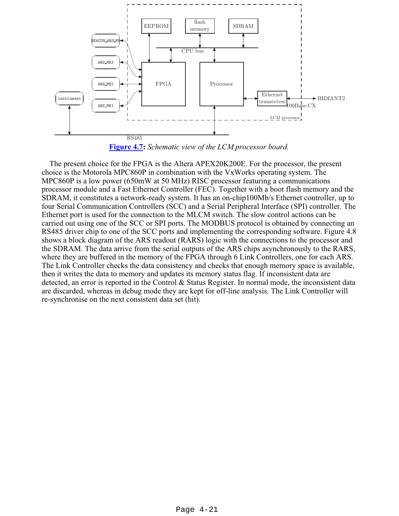

**Figure 4.7:** *Schematic view of the LCM processor board.*

 The present choice for the FPGA is the Altera APEX20K200E. For the processor, the present choice is the Motorola MPC860P in combination with the VxWorks operating system. The MPC860P is a low power (650mW at 50 MHz) RISC processor featuring a communications processor module and a Fast Ethernet Controller (FEC). Together with a boot flash memory and the SDRAM, it constitutes a network-ready system. It has an on-chip100Mb/s Ethernet controller, up to four Serial Communication Controllers (SCC) and a Serial Peripheral Interface (SPI) controller. The Ethernet port is used for the connection to the MLCM switch. The slow control actions can be carried out using one of the SCC or SPI ports. The MODBUS protocol is obtained by connecting an RS485 driver chip to one of the SCC ports and implementing the corresponding software. Figure 4.8 shows a block diagram of the ARS readout (RARS) logic with the connections to the processor and the SDRAM. The data arrive from the serial outputs of the ARS chips asynchronously to the RARS, where they are buffered in the memory of the FPGA through 6 Link Controllers, one for each ARS. The Link Controller checks the data consistency and checks that enough memory space is available, then it writes the data to memory and updates its memory status flag. If inconsistent data are detected, an error is reported in the Control & Status Register. In normal mode, the inconsistent data are discarded, whereas in debug mode they are kept for off-line analysis. The Link Controller will re-synchronise on the next consistent data set (hit).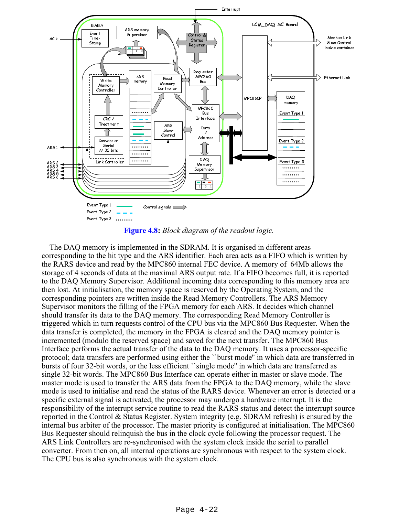

**Figure 4.8:** *Block diagram of the readout logic.*

 The DAQ memory is implemented in the SDRAM. It is organised in different areas corresponding to the hit type and the ARS identifier. Each area acts as a FIFO which is written by the RARS device and read by the MPC860 internal FEC device. A memory of 64Mb allows the storage of 4 seconds of data at the maximal ARS output rate. If a FIFO becomes full, it is reported to the DAQ Memory Supervisor. Additional incoming data corresponding to this memory area are then lost. At initialisation, the memory space is reserved by the Operating System, and the corresponding pointers are written inside the Read Memory Controllers. The ARS Memory Supervisor monitors the filling of the FPGA memory for each ARS. It decides which channel should transfer its data to the DAQ memory. The corresponding Read Memory Controller is triggered which in turn requests control of the CPU bus via the MPC860 Bus Requester. When the data transfer is completed, the memory in the FPGA is cleared and the DAQ memory pointer is incremented (modulo the reserved space) and saved for the next transfer. The MPC860 Bus Interface performs the actual transfer of the data to the DAQ memory. It uses a processor-specific protocol; data transfers are performed using either the ``burst mode'' in which data are transferred in bursts of four 32-bit words, or the less efficient ``single mode'' in which data are transferred as single 32-bit words. The MPC860 Bus Interface can operate either in master or slave mode. The master mode is used to transfer the ARS data from the FPGA to the DAQ memory, while the slave mode is used to initialise and read the status of the RARS device. Whenever an error is detected or a specific external signal is activated, the processor may undergo a hardware interrupt. It is the responsibility of the interrupt service routine to read the RARS status and detect the interrupt source reported in the Control & Status Register. System integrity (e.g. SDRAM refresh) is ensured by the internal bus arbiter of the processor. The master priority is configured at initialisation. The MPC860 Bus Requester should relinquish the bus in the clock cycle following the processor request. The ARS Link Controllers are re-synchronised with the system clock inside the serial to parallel converter. From then on, all internal operations are synchronous with respect to the system clock. The CPU bus is also synchronous with the system clock.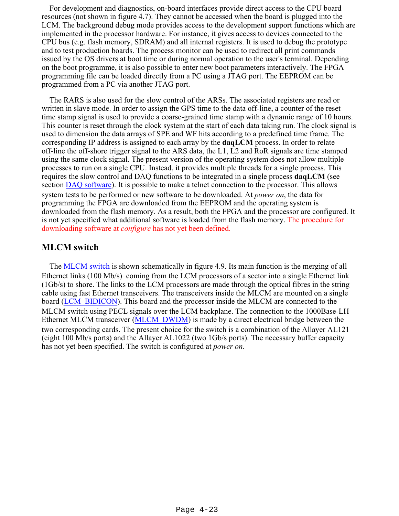For development and diagnostics, on-board interfaces provide direct access to the CPU board resources (not shown in figure 4.7). They cannot be accessed when the board is plugged into the LCM. The background debug mode provides access to the development support functions which are implemented in the processor hardware. For instance, it gives access to devices connected to the CPU bus (e.g. flash memory, SDRAM) and all internal registers. It is used to debug the prototype and to test production boards. The process monitor can be used to redirect all print commands issued by the OS drivers at boot time or during normal operation to the user's terminal. Depending on the boot programme, it is also possible to enter new boot parameters interactively. The FPGA programming file can be loaded directly from a PC using a JTAG port. The EEPROM can be programmed from a PC via another JTAG port.

 The RARS is also used for the slow control of the ARSs. The associated registers are read or written in slave mode. In order to assign the GPS time to the data off-line, a counter of the reset time stamp signal is used to provide a coarse-grained time stamp with a dynamic range of 10 hours. This counter is reset through the clock system at the start of each data taking run. The clock signal is used to dimension the data arrays of SPE and WF hits according to a predefined time frame. The corresponding IP address is assigned to each array by the **daqLCM** process. In order to relate off-line the off-shore trigger signal to the ARS data, the L1, L2 and RoR signals are time stamped using the same clock signal. The present version of the operating system does not allow multiple processes to run on a single CPU. Instead, it provides multiple threads for a single process. This requires the slow control and DAQ functions to be integrated in a single process **daqLCM** (see section DAQ software). It is possible to make a telnet connection to the processor. This allows system tests to be performed or new software to be downloaded. At *power on*, the data for programming the FPGA are downloaded from the EEPROM and the operating system is downloaded from the flash memory. As a result, both the FPGA and the processor are configured. It is not yet specified what additional software is loaded from the flash memory. The procedure for downloading software at *configure* has not yet been defined.

### **MLCM switch**

 The MLCM switch is shown schematically in figure 4.9. Its main function is the merging of all Ethernet links (100 Mb/s) coming from the LCM processors of a sector into a single Ethernet link (1Gb/s) to shore. The links to the LCM processors are made through the optical fibres in the string cable using fast Ethernet transceivers. The transceivers inside the MLCM are mounted on a single board (LCM\_BIDICON). This board and the processor inside the MLCM are connected to the MLCM switch using PECL signals over the LCM backplane. The connection to the 1000Base-LH Ethernet MLCM transceiver (MLCM\_DWDM) is made by a direct electrical bridge between the two corresponding cards. The present choice for the switch is a combination of the Allayer AL121 (eight 100 Mb/s ports) and the Allayer AL1022 (two 1Gb/s ports). The necessary buffer capacity has not yet been specified. The switch is configured at *power on*.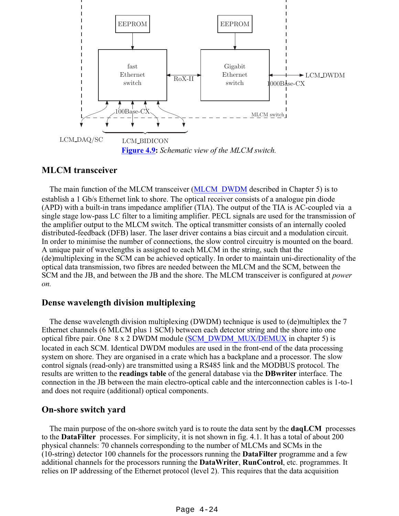

#### **MLCM transceiver**

The main function of the MLCM transceiver (MLCM\_DWDM described in Chapter 5) is to establish a 1 Gb/s Ethernet link to shore. The optical receiver consists of a analogue pin diode (APD) with a built-in trans impedance amplifier (TIA). The output of the TIA is AC-coupled via a single stage low-pass LC filter to a limiting amplifier. PECL signals are used for the transmission of the amplifier output to the MLCM switch. The optical transmitter consists of an internally cooled distributed-feedback (DFB) laser. The laser driver contains a bias circuit and a modulation circuit. In order to minimise the number of connections, the slow control circuitry is mounted on the board. A unique pair of wavelengths is assigned to each MLCM in the string, such that the (de)multiplexing in the SCM can be achieved optically. In order to maintain uni-directionality of the optical data transmission, two fibres are needed between the MLCM and the SCM, between the SCM and the JB, and between the JB and the shore. The MLCM transceiver is configured at *power on.*

#### **Dense wavelength division multiplexing**

 The dense wavelength division multiplexing (DWDM) technique is used to (de)multiplex the 7 Ethernet channels (6 MLCM plus 1 SCM) between each detector string and the shore into one optical fibre pair. One 8 x 2 DWDM module (SCM\_DWDM\_MUX/DEMUX in chapter 5) is located in each SCM. Identical DWDM modules are used in the front-end of the data processing system on shore. They are organised in a crate which has a backplane and a processor. The slow control signals (read-only) are transmitted using a RS485 link and the MODBUS protocol. The results are written to the **readings table** of the general database via the **DBwriter** interface. The connection in the JB between the main electro-optical cable and the interconnection cables is 1-to-1 and does not require (additional) optical components.

#### **On-shore switch yard**

 The main purpose of the on-shore switch yard is to route the data sent by the **daqLCM** processes to the **DataFilter** processes. For simplicity, it is not shown in fig. 4.1. It has a total of about 200 physical channels: 70 channels corresponding to the number of MLCMs and SCMs in the (10-string) detector 100 channels for the processors running the **DataFilter** programme and a few additional channels for the processors running the **DataWriter**, **RunControl**, etc. programmes. It relies on IP addressing of the Ethernet protocol (level 2). This requires that the data acquisition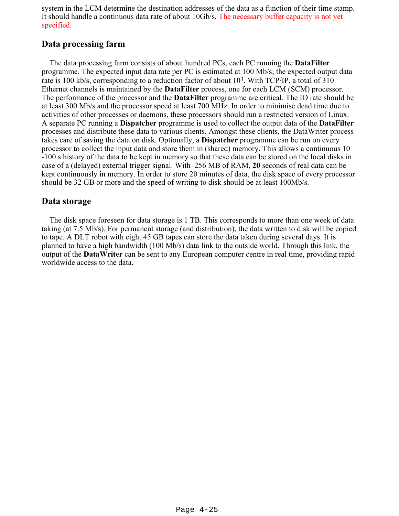system in the LCM determine the destination addresses of the data as a function of their time stamp. It should handle a continuous data rate of about 10Gb/s. The necessary buffer capacity is not yet specified.

#### **Data processing farm**

 The data processing farm consists of about hundred PCs, each PC running the **DataFilter** programme. The expected input data rate per PC is estimated at 100 Mb/s; the expected output data rate is 100 kb/s, corresponding to a reduction factor of about 10<sup>3</sup>. With TCP/IP, a total of 310 Ethernet channels is maintained by the **DataFilter** process, one for each LCM (SCM) processor. The performance of the processor and the **DataFilter** programme are critical. The IO rate should be at least 300 Mb/s and the processor speed at least 700 MHz. In order to minimise dead time due to activities of other processes or daemons, these processors should run a restricted version of Linux. A separate PC running a **Dispatcher** programme is used to collect the output data of the **DataFilter** processes and distribute these data to various clients. Amongst these clients, the DataWriter process takes care of saving the data on disk. Optionally, a **Dispatcher** programme can be run on every processor to collect the input data and store them in (shared) memory. This allows a continuous 10 -100 s history of the data to be kept in memory so that these data can be stored on the local disks in case of a (delayed) external trigger signal. With 256 MB of RAM, **20** seconds of real data can be kept continuously in memory. In order to store 20 minutes of data, the disk space of every processor should be 32 GB or more and the speed of writing to disk should be at least 100Mb/s.

#### **Data storage**

 The disk space foreseen for data storage is 1 TB. This corresponds to more than one week of data taking (at 7.5 Mb/s). For permanent storage (and distribution), the data written to disk will be copied to tape. A DLT robot with eight 45 GB tapes can store the data taken during several days. It is planned to have a high bandwidth (100 Mb/s) data link to the outside world. Through this link, the output of the **DataWriter** can be sent to any European computer centre in real time, providing rapid worldwide access to the data.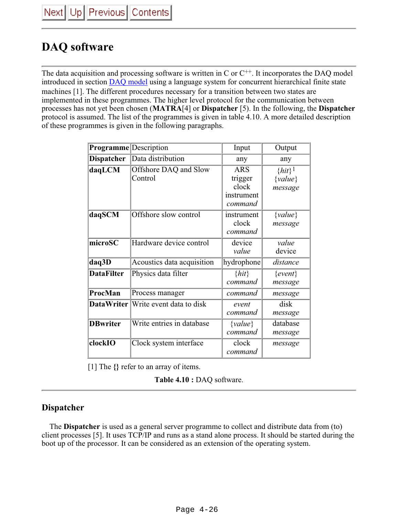# **DAQ software**

The data acquisition and processing software is written in  $C$  or  $C^{++}$ . It incorporates the DAQ model introduced in section DAQ model using a language system for concurrent hierarchical finite state machines [1]. The different procedures necessary for a transition between two states are implemented in these programmes. The higher level protocol for the communication between processes has not yet been chosen (**MATRA**[4] or **Dispatcher** [5). In the following, the **Dispatcher** protocol is assumed. The list of the programmes is given in table 4.10. A more detailed description of these programmes is given in the following paragraphs.

| <b>Programme</b> Description |                                  | Input                                                   | Output                                         |
|------------------------------|----------------------------------|---------------------------------------------------------|------------------------------------------------|
| <b>Dispatcher</b>            | Data distribution                | any                                                     | any                                            |
| daqLCM                       | Offshore DAQ and Slow<br>Control | <b>ARS</b><br>trigger<br>clock<br>instrument<br>command | $\{hit\}$ <sup>1</sup><br>${value}$<br>message |
| daqSCM                       | Offshore slow control            | instrument<br>clock<br>command                          | ${value}$<br>message                           |
| microSC                      | Hardware device control          | device<br>value                                         | value<br>device                                |
| daq3D                        | Acoustics data acquisition       | hydrophone                                              | distance                                       |
| <b>DataFilter</b>            | Physics data filter              | $\{hit\}$<br>command                                    | $\{event\}$<br>message                         |
| ProcMan                      | Process manager                  | command                                                 | message                                        |
| DataWriter                   | Write event data to disk         | event<br>command                                        | disk<br>message                                |
| <b>DBwriter</b>              | Write entries in database        | $\{value\}$<br>command                                  | database<br>message                            |
| clockIO                      | Clock system interface           | clock<br>command                                        | message                                        |

[1] The **{}** refer to an array of items.

**Table 4.10 :** DAQ software.

### **Dispatcher**

 The **Dispatcher** is used as a general server programme to collect and distribute data from (to) client processes [5]. It uses TCP/IP and runs as a stand alone process. It should be started during the boot up of the processor. It can be considered as an extension of the operating system.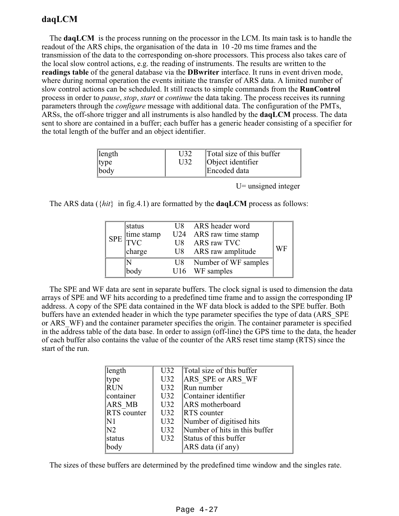### **daqLCM**

 The **daqLCM** is the process running on the processor in the LCM. Its main task is to handle the readout of the ARS chips, the organisation of the data in 10 -20 ms time frames and the transmission of the data to the corresponding on-shore processors. This process also takes care of the local slow control actions, e.g. the reading of instruments. The results are written to the **readings table** of the general database via the **DBwriter** interface. It runs in event driven mode, where during normal operation the events initiate the transfer of ARS data. A limited number of slow control actions can be scheduled. It still reacts to simple commands from the **RunControl** process in order to *pause*, *stop*, *start* or *continue* the data taking. The process receives its running parameters through the *configure* message with additional data. The configuration of the PMTs, ARSs, the off-shore trigger and all instruments is also handled by the **daqLCM** process. The data sent to shore are contained in a buffer; each buffer has a generic header consisting of a specifier for the total length of the buffer and an object identifier.

| length |                 | Total size of this buffer |
|--------|-----------------|---------------------------|
| type   | U <sub>32</sub> | Object identifier         |
| body   |                 | Encoded data              |

U= unsigned integer

The ARS data ({*hit*} in fig.4.1) are formatted by the **daqLCM** process as follows:

| SPE | status<br>time stamp<br>TVC<br>charge | U8 —<br>U8 | ARS header word<br>U24 ARS raw time stamp<br>ARS raw TVC<br>U8 ARS raw amplitude | WF |
|-----|---------------------------------------|------------|----------------------------------------------------------------------------------|----|
|     | body                                  | U8.        | Number of WF samples<br>U16 WF samples                                           |    |

 The SPE and WF data are sent in separate buffers. The clock signal is used to dimension the data arrays of SPE and WF hits according to a predefined time frame and to assign the corresponding IP address. A copy of the SPE data contained in the WF data block is added to the SPE buffer. Both buffers have an extended header in which the type parameter specifies the type of data (ARS\_SPE or ARS\_WF) and the container parameter specifies the origin. The container parameter is specified in the address table of the data base. In order to assign (off-line) the GPS time to the data, the header of each buffer also contains the value of the counter of the ARS reset time stamp (RTS) since the start of the run.

| length        | U32 | Total size of this buffer     |
|---------------|-----|-------------------------------|
| type          | U32 | ARS SPE or ARS WF             |
| <b>RUN</b>    | U32 | Run number                    |
| container     | U32 | Container identifier          |
| ARS MB        | U32 | <b>ARS</b> motherboard        |
| RTS counter   | U32 | <b>RTS</b> counter            |
| $\mathbf{N}1$ | U32 | Number of digitised hits      |
| N2            | U32 | Number of hits in this buffer |
| status        | U32 | Status of this buffer         |
| 'body         |     | ARS data (if any)             |

The sizes of these buffers are determined by the predefined time window and the singles rate.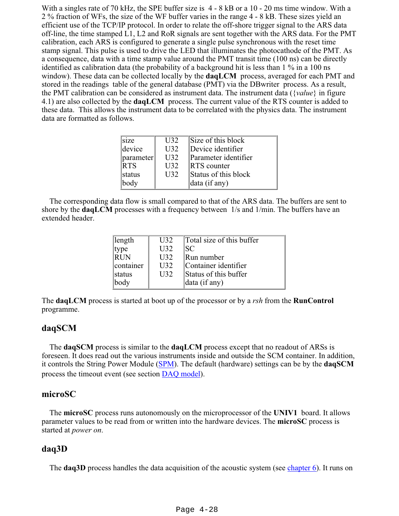With a singles rate of 70 kHz, the SPE buffer size is  $4 - 8$  kB or a 10 - 20 ms time window. With a 2 % fraction of WFs, the size of the WF buffer varies in the range 4 - 8 kB. These sizes yield an efficient use of the TCP/IP protocol. In order to relate the off-shore trigger signal to the ARS data off-line, the time stamped L1, L2 and RoR signals are sent together with the ARS data. For the PMT calibration, each ARS is configured to generate a single pulse synchronous with the reset time stamp signal. This pulse is used to drive the LED that illuminates the photocathode of the PMT. As a consequence, data with a time stamp value around the PMT transit time (100 ns) can be directly identified as calibration data (the probability of a background hit is less than 1 % in a 100 ns window). These data can be collected locally by the **daqLCM** process, averaged for each PMT and stored in the readings table of the general database (PMT) via the DBwriter process. As a result, the PMT calibration can be considered as instrument data. The instrument data ({*value*} in figure 4.1) are also collected by the **daqLCM** process. The current value of the RTS counter is added to these data. This allows the instrument data to be correlated with the physics data. The instrument data are formatted as follows.

| size       | U32 | Size of this block   |
|------------|-----|----------------------|
| device     | U32 | Device identifier    |
| parameter  | U32 | Parameter identifier |
| <b>RTS</b> | U32 | <b>RTS</b> counter   |
| status     | U32 | Status of this block |
| body       |     | data (if any)        |
|            |     |                      |

 The corresponding data flow is small compared to that of the ARS data. The buffers are sent to shore by the **daqLCM** processes with a frequency between 1/s and 1/min. The buffers have an extended header.

| length     | U <sub>32</sub> | Total size of this buffer |
|------------|-----------------|---------------------------|
| type       | U32             | <b>SC</b>                 |
| <b>RUN</b> | U <sub>32</sub> | Run number                |
| container  | U <sub>32</sub> | Container identifier      |
| status     | U32             | Status of this buffer     |
| body       |                 | data (if any)             |
|            |                 |                           |

The **daqLCM** process is started at boot up of the processor or by a *rsh* from the **RunControl** programme.

#### **daqSCM**

 The **daqSCM** process is similar to the **daqLCM** process except that no readout of ARSs is foreseen. It does read out the various instruments inside and outside the SCM container. In addition, it controls the String Power Module (SPM). The default (hardware) settings can be by the **daqSCM** process the timeout event (see section DAQ model).

#### **microSC**

 The **microSC** process runs autonomously on the microprocessor of the **UNIV1** board. It allows parameter values to be read from or written into the hardware devices. The **microSC** process is started at *power on*.

#### **daq3D**

The **daq3D** process handles the data acquisition of the acoustic system (see chapter 6). It runs on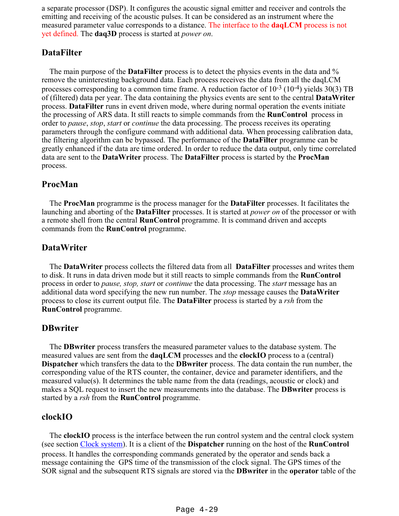a separate processor (DSP). It configures the acoustic signal emitter and receiver and controls the emitting and receiving of the acoustic pulses. It can be considered as an instrument where the measured parameter value corresponds to a distance. The interface to the **daqLCM** process is not yet defined. The **daq3D** process is started at *power on*.

### **DataFilter**

 The main purpose of the **DataFilter** process is to detect the physics events in the data and % remove the uninteresting background data. Each process receives the data from all the daqLCM processes corresponding to a common time frame. A reduction factor of  $10^{-3}$  ( $10^{-4}$ ) yields  $30(3)$  TB of (filtered) data per year. The data containing the physics events are sent to the central **DataWriter** process. **DataFilter** runs in event driven mode, where during normal operation the events initiate the processing of ARS data. It still reacts to simple commands from the **RunControl** process in order to *pause*, *stop*, *start* or *continue* the data processing. The process receives its operating parameters through the configure command with additional data. When processing calibration data, the filtering algorithm can be bypassed. The performance of the **DataFilter** programme can be greatly enhanced if the data are time ordered. In order to reduce the data output, only time correlated data are sent to the **DataWriter** process. The **DataFilter** process is started by the **ProcMan** process.

### **ProcMan**

 The **ProcMan** programme is the process manager for the **DataFilter** processes. It facilitates the launching and aborting of the **DataFilter** processes. It is started at *power on* of the processor or with a remote shell from the central **RunControl** programme. It is command driven and accepts commands from the **RunControl** programme.

### **DataWriter**

 The **DataWriter** process collects the filtered data from all **DataFilter** processes and writes them to disk. It runs in data driven mode but it still reacts to simple commands from the **RunControl** process in order to *pause, stop, start* or *continue* the data processing. The *start* message has an additional data word specifying the new run number. The *stop* message causes the **DataWriter** process to close its current output file. The **DataFilter** process is started by a *rsh* from the **RunControl** programme.

#### **DBwriter**

 The **DBwriter** process transfers the measured parameter values to the database system. The measured values are sent from the **daqLCM** processes and the **clockIO** process to a (central) **Dispatcher** which transfers the data to the **DBwriter** process. The data contain the run number, the corresponding value of the RTS counter, the container, device and parameter identifiers, and the measured value(s). It determines the table name from the data (readings, acoustic or clock) and makes a SQL request to insert the new measurements into the database. The **DBwriter** process is started by a *rsh* from the **RunControl** programme.

#### **clockIO**

 The **clockIO** process is the interface between the run control system and the central clock system (see section Clock system). It is a client of the **Dispatcher** running on the host of the **RunControl** process. It handles the corresponding commands generated by the operator and sends back a message containing the GPS time of the transmission of the clock signal. The GPS times of the SOR signal and the subsequent RTS signals are stored via the **DBwriter** in the **operator** table of the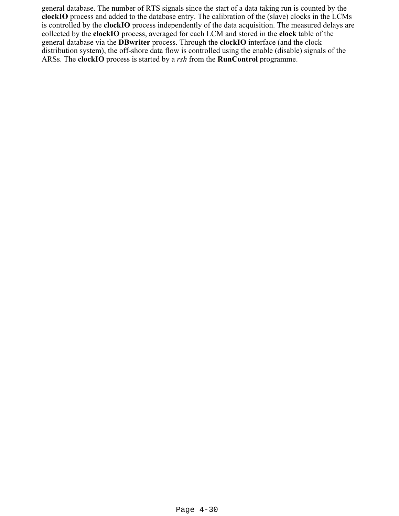general database. The number of RTS signals since the start of a data taking run is counted by the **clockIO** process and added to the database entry. The calibration of the (slave) clocks in the LCMs is controlled by the **clockIO** process independently of the data acquisition. The measured delays are collected by the **clockIO** process, averaged for each LCM and stored in the **clock** table of the general database via the **DBwriter** process. Through the **clockIO** interface (and the clock distribution system), the off-shore data flow is controlled using the enable (disable) signals of the ARSs. The **clockIO** process is started by a *rsh* from the **RunControl** programme.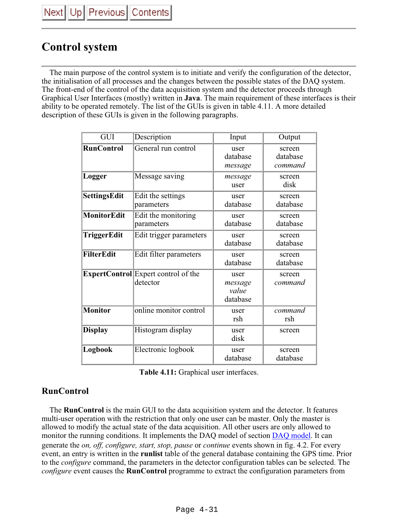# **Control system**

 The main purpose of the control system is to initiate and verify the configuration of the detector, the initialisation of all processes and the changes between the possible states of the DAQ system. The front-end of the control of the data acquisition system and the detector proceeds through Graphical User Interfaces (mostly) written in **Java**. The main requirement of these interfaces is their ability to be operated remotely. The list of the GUIs is given in table 4.11. A more detailed description of these GUIs is given in the following paragraphs.

| GUI                 | Description                                            | Input                                | Output                        |
|---------------------|--------------------------------------------------------|--------------------------------------|-------------------------------|
| <b>RunControl</b>   | General run control                                    | user<br>database<br>message          | screen<br>database<br>command |
| Logger              | Message saving                                         | message<br>user                      | screen<br>disk                |
| <b>SettingsEdit</b> | Edit the settings<br>parameters                        | user<br>database                     | screen<br>database            |
| <b>MonitorEdit</b>  | Edit the monitoring<br>parameters                      | user<br>database                     | screen<br>database            |
| TriggerEdit         | Edit trigger parameters                                | user<br>database                     | screen<br>database            |
| <b>FilterEdit</b>   | Edit filter parameters                                 | user<br>database                     | screen<br>database            |
|                     | <b>ExpertControl</b> Expert control of the<br>detector | user<br>message<br>value<br>database | screen<br>command             |
| <b>Monitor</b>      | online monitor control                                 | user<br>rsh                          | command<br>rsh                |
| <b>Display</b>      | Histogram display                                      | user<br>disk                         | screen                        |
| Logbook             | Electronic logbook                                     | user<br>database                     | screen<br>database            |

| Table 4.11: Graphical user interfaces. |  |
|----------------------------------------|--|
|----------------------------------------|--|

### **RunControl**

 The **RunControl** is the main GUI to the data acquisition system and the detector. It features multi-user operation with the restriction that only one user can be master. Only the master is allowed to modify the actual state of the data acquisition. All other users are only allowed to monitor the running conditions. It implements the DAQ model of section DAQ model. It can generate the *on, off, configure, start, stop, pause* or *continue* events shown in fig. 4.2. For every event, an entry is written in the **runlist** table of the general database containing the GPS time. Prior to the *configure* command, the parameters in the detector configuration tables can be selected. The *configure* event causes the **RunControl** programme to extract the configuration parameters from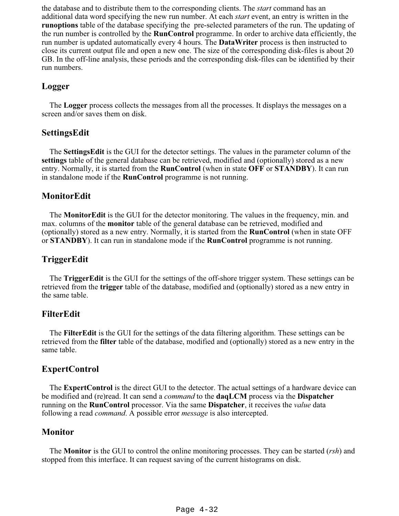the database and to distribute them to the corresponding clients. The *start* command has an additional data word specifying the new run number. At each *start* event, an entry is written in the **runoptions** table of the database specifying the pre-selected parameters of the run. The updating of the run number is controlled by the **RunControl** programme. In order to archive data efficiently, the run number is updated automatically every 4 hours. The **DataWriter** process is then instructed to close its current output file and open a new one. The size of the corresponding disk-files is about 20 GB. In the off-line analysis, these periods and the corresponding disk-files can be identified by their run numbers.

#### **Logger**

 The **Logger** process collects the messages from all the processes. It displays the messages on a screen and/or saves them on disk.

#### **SettingsEdit**

 The **SettingsEdit** is the GUI for the detector settings. The values in the parameter column of the **settings** table of the general database can be retrieved, modified and (optionally) stored as a new entry. Normally, it is started from the **RunControl** (when in state **OFF** or **STANDBY**). It can run in standalone mode if the **RunControl** programme is not running.

#### **MonitorEdit**

 The **MonitorEdit** is the GUI for the detector monitoring. The values in the frequency, min. and max. columns of the **monitor** table of the general database can be retrieved, modified and (optionally) stored as a new entry. Normally, it is started from the **RunControl** (when in state OFF or **STANDBY**). It can run in standalone mode if the **RunControl** programme is not running.

#### **TriggerEdit**

 The **TriggerEdit** is the GUI for the settings of the off-shore trigger system. These settings can be retrieved from the **trigger** table of the database, modified and (optionally) stored as a new entry in the same table.

#### **FilterEdit**

 The **FilterEdit** is the GUI for the settings of the data filtering algorithm. These settings can be retrieved from the **filter** table of the database, modified and (optionally) stored as a new entry in the same table.

#### **ExpertControl**

 The **ExpertControl** is the direct GUI to the detector. The actual settings of a hardware device can be modified and (re)read. It can send a *command* to the **daqLCM** process via the **Dispatcher** running on the **RunControl** processor. Via the same **Dispatcher**, it receives the *value* data following a read *command*. A possible error *message* is also intercepted.

#### **Monitor**

 The **Monitor** is the GUI to control the online monitoring processes. They can be started (*rsh*) and stopped from this interface. It can request saving of the current histograms on disk.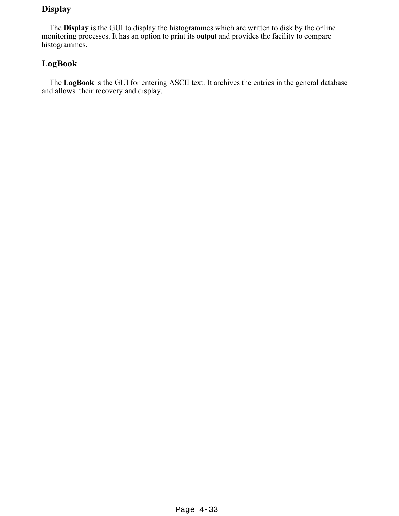## **Display**

 The **Display** is the GUI to display the histogrammes which are written to disk by the online monitoring processes. It has an option to print its output and provides the facility to compare histogrammes.

### **LogBook**

 The **LogBook** is the GUI for entering ASCII text. It archives the entries in the general database and allows their recovery and display.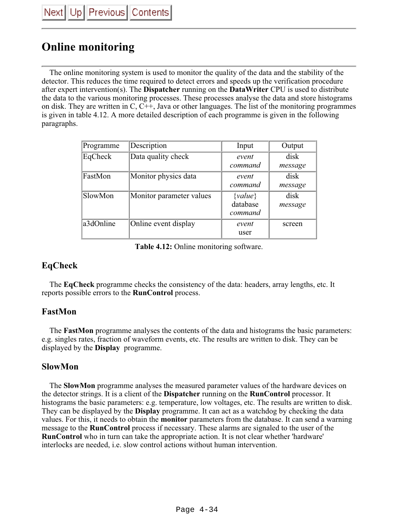# **Online monitoring**

 The online monitoring system is used to monitor the quality of the data and the stability of the detector. This reduces the time required to detect errors and speeds up the verification procedure after expert intervention(s). The **Dispatcher** running on the **DataWriter** CPU is used to distribute the data to the various monitoring processes. These processes analyse the data and store histograms on disk. They are written in C, C++, Java or other languages. The list of the monitoring programmes is given in table 4.12. A more detailed description of each programme is given in the following paragraphs.

| Programme | Description              | Input                            | Output          |
|-----------|--------------------------|----------------------------------|-----------------|
| EqCheck   | Data quality check       | event<br>command                 | disk<br>message |
| FastMon   | Monitor physics data     | event<br>command                 | disk<br>message |
| SlowMon   | Monitor parameter values | ${value}$<br>database<br>command | disk<br>message |
| a3dOnline | Online event display     | event<br>user                    | screen          |

**Table 4.12:** Online monitoring software.

### **EqCheck**

 The **EqCheck** programme checks the consistency of the data: headers, array lengths, etc. It reports possible errors to the **RunControl** process.

#### **FastMon**

 The **FastMon** programme analyses the contents of the data and histograms the basic parameters: e.g. singles rates, fraction of waveform events, etc. The results are written to disk. They can be displayed by the **Display** programme.

#### **SlowMon**

 The **SlowMon** programme analyses the measured parameter values of the hardware devices on the detector strings. It is a client of the **Dispatcher** running on the **RunControl** processor. It histograms the basic parameters: e.g. temperature, low voltages, etc. The results are written to disk. They can be displayed by the **Display** programme. It can act as a watchdog by checking the data values. For this, it needs to obtain the **monitor** parameters from the database. It can send a warning message to the **RunControl** process if necessary. These alarms are signaled to the user of the **RunControl** who in turn can take the appropriate action. It is not clear whether 'hardware' interlocks are needed, i.e. slow control actions without human intervention.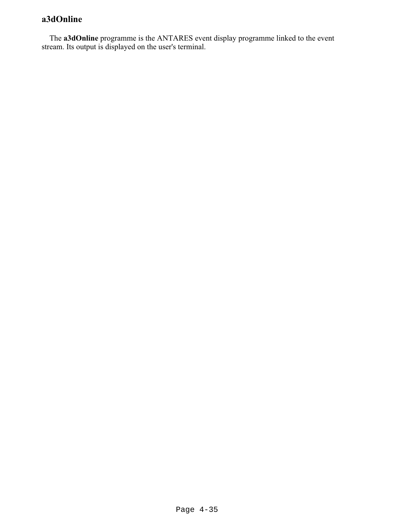### **a3dOnline**

 The **a3dOnline** programme is the ANTARES event display programme linked to the event stream. Its output is displayed on the user's terminal.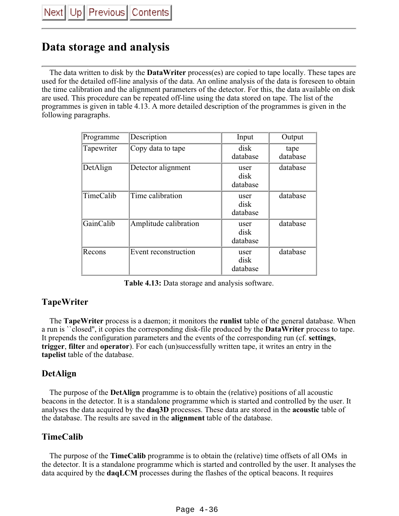

## **Data storage and analysis**

 The data written to disk by the **DataWriter** process(es) are copied to tape locally. These tapes are used for the detailed off-line analysis of the data. An online analysis of the data is foreseen to obtain the time calibration and the alignment parameters of the detector. For this, the data available on disk are used. This procedure can be repeated off-line using the data stored on tape. The list of the programmes is given in table 4.13. A more detailed description of the programmes is given in the following paragraphs.

| Programme  | Description           | Input                    | Output           |
|------------|-----------------------|--------------------------|------------------|
| Tapewriter | Copy data to tape     | disk<br>database         | tape<br>database |
| DetAlign   | Detector alignment    | user<br>disk<br>database | database         |
| TimeCalib  | Time calibration      | user<br>disk<br>database | database         |
| GainCalib  | Amplitude calibration | user<br>disk<br>database | database         |
| Recons     | Event reconstruction  | user<br>disk<br>database | database         |

**Table 4.13:** Data storage and analysis software.

#### **TapeWriter**

 The **TapeWriter** process is a daemon; it monitors the **runlist** table of the general database. When a run is ``closed'', it copies the corresponding disk-file produced by the **DataWriter** process to tape. It prepends the configuration parameters and the events of the corresponding run (cf. **settings**, **trigger**, **filter** and **operator**). For each (un)successfully written tape, it writes an entry in the **tapelist** table of the database.

#### **DetAlign**

 The purpose of the **DetAlign** programme is to obtain the (relative) positions of all acoustic beacons in the detector. It is a standalone programme which is started and controlled by the user. It analyses the data acquired by the **daq3D** processes. These data are stored in the **acoustic** table of the database. The results are saved in the **alignment** table of the database.

#### **TimeCalib**

 The purpose of the **TimeCalib** programme is to obtain the (relative) time offsets of all OMs in the detector. It is a standalone programme which is started and controlled by the user. It analyses the data acquired by the **daqLCM** processes during the flashes of the optical beacons. It requires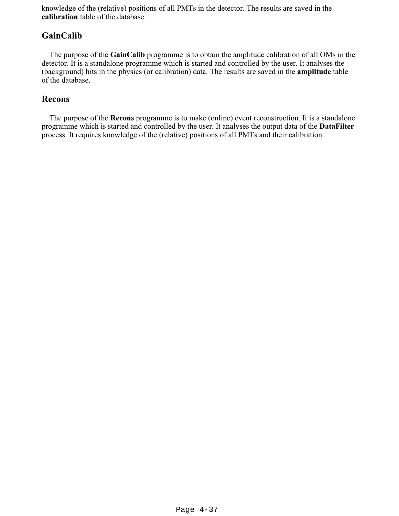knowledge of the (relative) positions of all PMTs in the detector. The results are saved in the **calibration** table of the database.

#### **GainCalib**

 The purpose of the **GainCalib** programme is to obtain the amplitude calibration of all OMs in the detector. It is a standalone programme which is started and controlled by the user. It analyses the (background) hits in the physics (or calibration) data. The results are saved in the **amplitude** table of the database.

#### **Recons**

 The purpose of the **Recons** programme is to make (online) event reconstruction. It is a standalone programme which is started and controlled by the user. It analyses the output data of the **DataFilter** process. It requires knowledge of the (relative) positions of all PMTs and their calibration.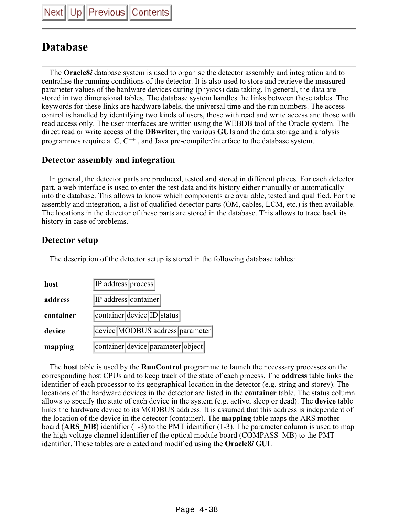# **Database**

 The **Oracle8***i* database system is used to organise the detector assembly and integration and to centralise the running conditions of the detector. It is also used to store and retrieve the measured parameter values of the hardware devices during (physics) data taking. In general, the data are stored in two dimensional tables. The database system handles the links between these tables. The keywords for these links are hardware labels, the universal time and the run numbers. The access control is handled by identifying two kinds of users, those with read and write access and those with read access only. The user interfaces are written using the WEBDB tool of the Oracle system. The direct read or write access of the **DBwriter**, the various **GUI**s and the data storage and analysis programmes require a  $C, C^{++}$ , and Java pre-compiler/interface to the database system.

### **Detector assembly and integration**

 In general, the detector parts are produced, tested and stored in different places. For each detector part, a web interface is used to enter the test data and its history either manually or automatically into the database. This allows to know which components are available, tested and qualified. For the assembly and integration, a list of qualified detector parts (OM, cables, LCM, etc.) is then available. The locations in the detector of these parts are stored in the database. This allows to trace back its history in case of problems.

#### **Detector setup**

The description of the detector setup is stored in the following database tables:

| host      | IP address process                |
|-----------|-----------------------------------|
| address   | IP address container              |
| container | container device ID status        |
| device    | device MODBUS address parameter   |
| mapping   | container device parameter object |

 The **host** table is used by the **RunControl** programme to launch the necessary processes on the corresponding host CPUs and to keep track of the state of each process. The **address** table links the identifier of each processor to its geographical location in the detector (e.g. string and storey). The locations of the hardware devices in the detector are listed in the **container** table. The status column allows to specify the state of each device in the system (e.g. active, sleep or dead). The **device** table links the hardware device to its MODBUS address. It is assumed that this address is independent of the location of the device in the detector (container). The **mapping** table maps the ARS mother board (ARS MB) identifier (1-3) to the PMT identifier (1-3). The parameter column is used to map the high voltage channel identifier of the optical module board (COMPASS\_MB) to the PMT identifier. These tables are created and modified using the **Oracle8***i* **GUI**.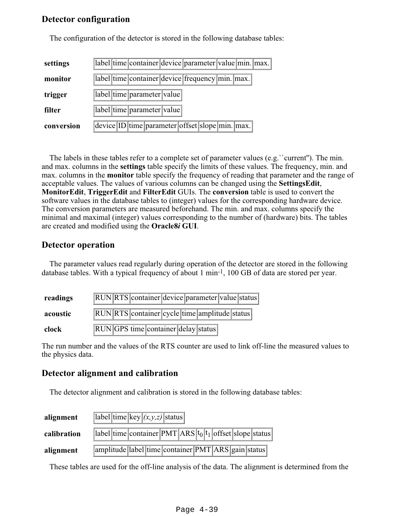### **Detector configuration**

| settings   | label time container device parameter value min. max. |
|------------|-------------------------------------------------------|
| monitor    | label time container device frequency min. max.       |
| trigger    | label time parameter value                            |
| filter     | label time parameter value                            |
| conversion | device ID time parameter offset slope min. max.       |

The configuration of the detector is stored in the following database tables:

 The labels in these tables refer to a complete set of parameter values (e.g.``current''). The min. and max. columns in the **settings** table specify the limits of these values. The frequency, min. and max. columns in the **monitor** table specify the frequency of reading that parameter and the range of acceptable values. The values of various columns can be changed using the **SettingsEdit**, **MonitorEdit**, **TriggerEdit** and **FilterEdit** GUIs. The **conversion** table is used to convert the software values in the database tables to (integer) values for the corresponding hardware device. The conversion parameters are measured beforehand. The min. and max. columns specify the minimal and maximal (integer) values corresponding to the number of (hardware) bits. The tables are created and modified using the **Oracle8***i* **GUI**.

### **Detector operation**

 The parameter values read regularly during operation of the detector are stored in the following database tables. With a typical frequency of about 1 min<sup>-1</sup>, 100 GB of data are stored per year.

| readings | RUN RTS container device parameter value status |
|----------|-------------------------------------------------|
| acoustic | RUN RTS container cycle time amplitude status   |
| clock    | RUN GPS time container delay status             |

The run number and the values of the RTS counter are used to link off-line the measured values to the physics data.

#### **Detector alignment and calibration**

The detector alignment and calibration is stored in the following database tables:

| alignment   | $\boxed{\text{label}}$ lime key $(x, y, z)$ status                           |
|-------------|------------------------------------------------------------------------------|
| calibration | $ $ label $ $ time $ $ container $ PMT ARS t_0 t_1 $ offset $ slope $ status |
| alignment   | amplitude label time container PMT ARS gain status                           |

These tables are used for the off-line analysis of the data. The alignment is determined from the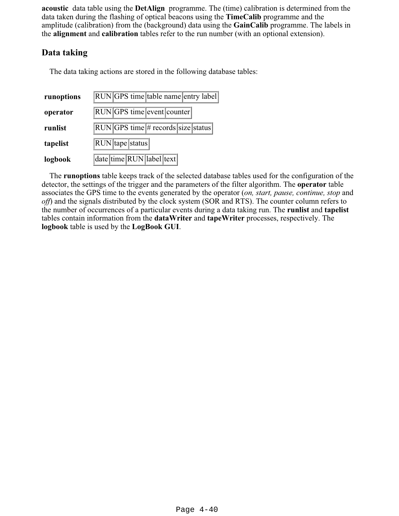**acoustic** data table using the **DetAlign** programme. The (time) calibration is determined from the data taken during the flashing of optical beacons using the **TimeCalib** programme and the amplitude (calibration) from the (background) data using the **GainCalib** programme. The labels in the **alignment** and **calibration** tables refer to the run number (with an optional extension).

### **Data taking**

The data taking actions are stored in the following database tables:

| runoptions | RUN GPS time table name entry label                |
|------------|----------------------------------------------------|
| operator   | RUNGPS time event counter                          |
| runlist    | $\vert$ RUN $\vert$ GPS time # records size status |
| tapelist   | RUN tape status                                    |
| logbook    | date time RUN label text                           |

 The **runoptions** table keeps track of the selected database tables used for the configuration of the detector, the settings of the trigger and the parameters of the filter algorithm. The **operator** table associates the GPS time to the events generated by the operator (*on, start, pause, continue, stop* and *off*) and the signals distributed by the clock system (SOR and RTS). The counter column refers to the number of occurrences of a particular events during a data taking run. The **runlist** and **tapelist** tables contain information from the **dataWriter** and **tapeWriter** processes, respectively. The **logbook** table is used by the **LogBook GUI**.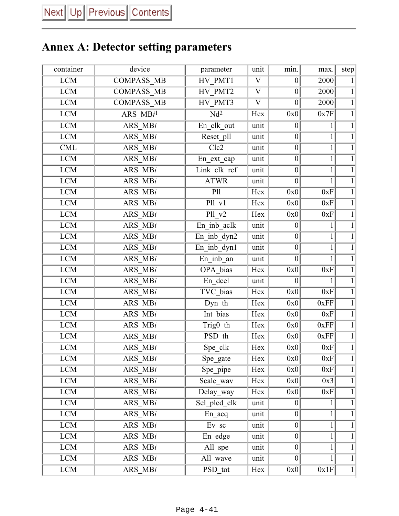# **Annex A: Detector setting parameters**

| container                        | device               | min.<br>parameter<br>unit                  |             | max.                     | step         |                |
|----------------------------------|----------------------|--------------------------------------------|-------------|--------------------------|--------------|----------------|
| <b>LCM</b>                       | <b>COMPASS MB</b>    | HV PMT1                                    | $\mathbf V$ | 2000<br>$\boldsymbol{0}$ |              | $\mathbf{1}$   |
| LCM                              | <b>COMPASS MB</b>    | $\mathbf V$<br>HV PMT2<br>$\boldsymbol{0}$ |             | 2000                     | $\mathbf{1}$ |                |
| LCM                              | <b>COMPASS MB</b>    | HV PMT3                                    | $\mathbf V$ | $\boldsymbol{0}$         | 2000         | $\mathbf{1}$   |
| $\ensuremath{\text{LCM}}\xspace$ | ARS MBi <sup>1</sup> | Nd <sup>2</sup>                            | Hex         | 0x0                      | 0x7F         | $\mathbf{1}$   |
| <b>LCM</b>                       | ARS MBi              | En clk out                                 | unit        | $\boldsymbol{0}$         |              | $\mathbf{1}$   |
| LCM                              | ARS MBi              | Reset pll                                  | unit        | $\boldsymbol{0}$         |              | $\overline{1}$ |
| CML                              | ARS MBi              | Clc <sub>2</sub>                           | unit        | $\boldsymbol{0}$         |              | $\mathbf{1}$   |
| LCM                              | ARS MBi              | En ext cap                                 | unit        | $\boldsymbol{0}$         | 1            | $\mathbf{1}$   |
| LCM                              | ARS MBi              | Link clk ref                               | unit        | $\boldsymbol{0}$         | 1            | $\mathbf{1}$   |
| LCM                              | ARS MBi              | <b>ATWR</b>                                | unit        | $\boldsymbol{0}$         |              | $\mathbf{1}$   |
| LCM                              | ARS MBi              | Pll                                        | Hex         | 0x0                      | 0xF          | $\overline{1}$ |
| <b>LCM</b>                       | ARS MBi              | Pll v1                                     | Hex         | 0x0                      | 0xF          | $\mathbf{1}$   |
| <b>LCM</b>                       | ARS MBi              | Pll v2                                     | Hex         | 0x0                      | 0xF          | $\mathbf{1}$   |
| LCM                              | ARS MBi              | En inb aclk                                | unit        | $\boldsymbol{0}$         |              |                |
| LCM                              | ARS MBi              | En inb dyn2                                | unit        | $\boldsymbol{0}$         | 1            | $\mathbf{1}$   |
| LCM                              | ARS MBi              | En inb dyn1                                | unit        | $\boldsymbol{0}$         | 1            | $\mathbf{1}$   |
| LCM                              | ARS MBi              | En inb an                                  | unit        | $\boldsymbol{0}$         |              | $\mathbf{1}$   |
| <b>LCM</b>                       | ARS MBi              | OPA bias                                   | Hex         | 0x0                      | 0xF          | $\overline{1}$ |
| LCM                              | ARS MBi              | En dcel                                    | unit        | $\theta$                 |              | $\mathbf{1}$   |
| LCM                              | ARS MBi              | TVC bias                                   | Hex         | 0x0                      | 0xF          | $\mathbf{1}$   |
| LCM                              | ARS MBi              | Dyn th                                     | Hex         | 0x0                      | 0xFF         | $\mathbf{1}$   |
| <b>LCM</b>                       | ARS MBi              | Int bias                                   | Hex         | 0x0                      | 0xF          | $\mathbf{1}$   |
| LCM                              | ARS MBi              | Trig0 th                                   | Hex         | 0x0                      | 0xFF         | $\overline{1}$ |
| <b>LCM</b>                       | ARS MBi              | PSD th                                     | Hex         | 0x0                      | 0xFF         | $\overline{1}$ |
| $\ensuremath{\text{LCM}}\xspace$ | ARS MBi              | Spe clk                                    | Hex         | 0x0                      | 0xF          | $\mathbf{1}$   |
| LCM                              | ARS MBi              | Spe gate                                   | Hex         | 0x0                      | 0xF          |                |
| <b>LCM</b>                       | ARS MBi              | Spe_pipe                                   | Hex         | 0x0                      | 0xF          |                |
| LCM                              | ARS MBi              | Scale wav                                  | Hex         | 0x0                      | 0x3          | $\mathbf{1}$   |
| LCM                              | ARS MBi              | Delay_way                                  | Hex         | 0x0                      | 0xF          | $\mathbf{1}$   |
| LCM                              | ARS_MBi              | Sel pled clk                               | unit        | $\boldsymbol{0}$         |              | $\mathbf{1}$   |
| LCM                              | ARS_MBi              | En_acq                                     | unit        | $\boldsymbol{0}$         | 1            | $\mathbf{1}$   |
| <b>LCM</b>                       | ARS MBi              | Ev sc                                      | unit        | $\boldsymbol{0}$         | 1            |                |
| <b>LCM</b>                       | ARS MBi              | En edge                                    | unit        | $\boldsymbol{0}$         | 1            | $\mathbf{1}$   |
| LCM                              | ARS_MBi              | All_spe                                    | unit        | $\boldsymbol{0}$         |              | $\mathbf{1}$   |
| LCM                              | ARS_MBi              | All_wave                                   | unit        | $\boldsymbol{0}$         |              | $\mathbf{1}$   |
| LCM                              | ARS_MBi              | PSD_tot                                    | Hex         | 0x0                      | 0x1F         | $\overline{1}$ |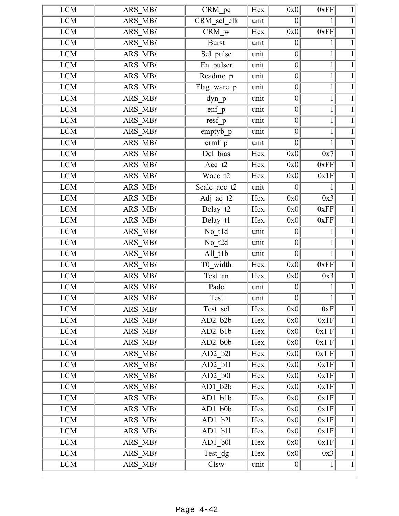|              | 0xFF         | 0x0                                     | Hex  | CRM pc              | ARS MBi    | <b>LCM</b> |
|--------------|--------------|-----------------------------------------|------|---------------------|------------|------------|
| 1            |              | CRM sel clk<br>unit<br>$\theta$         |      | ARS MBi             | <b>LCM</b> |            |
| $\mathbf{1}$ | 0xFF         | 0x0                                     | Hex  | CRM w               | ARS MBi    | <b>LCM</b> |
| $\mathbf{1}$ |              | <b>Burst</b><br>unit<br>$\vert 0 \vert$ |      | ARS MBi             | <b>LCM</b> |            |
| $\mathbf{1}$ | $\mathbf{1}$ | Sel pulse<br>$\boldsymbol{0}$<br>unit   |      | ARS MBi             | <b>LCM</b> |            |
| $\mathbf{1}$ | $\mathbf{1}$ | $\boldsymbol{0}$                        | unit | En_pulser           | ARS MBi    | <b>LCM</b> |
| $\mathbf{1}$ | $\mathbf{1}$ | $\boldsymbol{0}$                        | unit | Readme p            | ARS MBi    | <b>LCM</b> |
| $\mathbf{1}$ | $\mathbf{1}$ | $\boldsymbol{0}$                        | unit | Flag ware p         | ARS MBi    | <b>LCM</b> |
| 1            | $\mathbf{1}$ | $\vert 0 \vert$                         | unit | dyn p               | ARS MBi    | <b>LCM</b> |
| $\mathbf{1}$ | $\mathbf{1}$ | $\vert 0 \vert$                         | unit | $enf_p$             | ARS MBi    | <b>LCM</b> |
| $\mathbf{1}$ | $\mathbf{1}$ | $\boldsymbol{0}$                        | unit | resf p              | ARS MBi    | <b>LCM</b> |
| $\mathbf{1}$ | 1            | $\boldsymbol{0}$                        | unit | emptyb_p            | ARS MBi    | <b>LCM</b> |
| $\mathbf{1}$ |              | $\boldsymbol{0}$                        | unit | $crmf$ <sub>p</sub> | ARS MBi    | <b>LCM</b> |
| $\mathbf{1}$ | 0x7          | 0x0                                     | Hex  | Dcl bias            | ARS MBi    | <b>LCM</b> |
| $\mathbf{1}$ | 0xFF         | 0x0                                     | Hex  | Acc t2              | ARS MBi    | <b>LCM</b> |
| $\mathbf{1}$ | 0x1F         | 0x0                                     | Hex  | Wacc t2             | ARS MBi    | <b>LCM</b> |
| $\mathbf{1}$ |              | $\boldsymbol{0}$                        | unit | Scale acc t2        | ARS MBi    | <b>LCM</b> |
| $\mathbf{1}$ | 0x3          | 0x0                                     | Hex  | Adj ac t2           | ARS MBi    | <b>LCM</b> |
| $\mathbf{1}$ | 0xFF         | Delay t2<br>Hex<br>0x0                  |      | ARS MBi             | <b>LCM</b> |            |
| $\mathbf{1}$ | 0xFF         | Delay_t1<br>Hex<br>0x0                  |      | ARS MBi             | <b>LCM</b> |            |
| $\mathbf{1}$ |              | No tld<br>unit<br>$\overline{0}$        |      | ARS MBi             | <b>LCM</b> |            |
| $\mathbf{1}$ |              | $No_t2d$<br>$\vert 0 \vert$<br>unit     |      |                     | ARS MBi    | <b>LCM</b> |
| $\mathbf{1}$ | 1            | All tlb<br>unit<br>$\vert 0 \vert$      |      | ARS MBi             | <b>LCM</b> |            |
| $\mathbf{1}$ | 0xFF         | T0 width<br>0x0<br>Hex                  |      | ARS MBi             | <b>LCM</b> |            |
| $\mathbf{1}$ | 0x3          | 0x0                                     | Hex  | Test an             | ARS MBi    | <b>LCM</b> |
| $\mathbf{1}$ |              | Padc<br>unit<br>$\vert 0 \vert$         |      | ARS MBi             | <b>LCM</b> |            |
| $\mathbf{1}$ | $\mathbf{1}$ | Test<br>unit<br>$\vert 0 \vert$         |      | ARS MBi             | <b>LCM</b> |            |
| 1            | 0xF          | Test sel<br>Hex<br>0x0                  |      | ARS MBi             | LCM        |            |
| $\mathbf{1}$ | 0x1F         | 0x0                                     | Hex  | $AD2_b2b$           | ARS MBi    | <b>LCM</b> |
|              | $0x1$ F      | 0x0                                     | Hex  | AD2_b1b             | ARS MBi    | LCM        |
| 1            | $0x1$ F      | 0x0                                     | Hex  | $AD2_b0b$           | ARS MBi    | <b>LCM</b> |
| 1            | $0x1$ F      | 0x0                                     | Hex  | AD2 b2l             | ARS MBi    | <b>LCM</b> |
| 1            | 0x1F         | 0x0                                     | Hex  | AD2 b11             | ARS MBi    | <b>LCM</b> |
| 1            | 0x1F         | 0x0                                     | Hex  | AD2 b01             | ARS MBi    | <b>LCM</b> |
| $\mathbf{1}$ | 0x1F         | AD1 b2b<br>0x0<br>Hex                   |      | ARS MBi             | LCM        |            |
| $\mathbf{1}$ | 0x1F         | 0x0                                     | Hex  | AD1 b1b             | ARS MBi    | <b>LCM</b> |
|              | 0x1F         | 0x0                                     | Hex  | AD1 b0b             | ARS MBi    | <b>LCM</b> |
| $\mathbf{1}$ | 0x1F         | 0x0                                     | Hex  | AD1 b2l             | ARS MBi    | <b>LCM</b> |
| 1            | 0x1F         | AD1 b11<br>0x0<br>Hex                   |      | ARS MBi             | <b>LCM</b> |            |
| 1            | 0x1F         | 0x0                                     | Hex  | AD1 b0l             | ARS MBi    | LCM        |
| $\mathbf{1}$ | 0x3          | 0x0                                     | Hex  | Test_dg             | ARS MBi    | <b>LCM</b> |
| $\mathbf{1}$ | $\mathbf{1}$ | 0                                       | unit | Clsw                | ARS MBi    | <b>LCM</b> |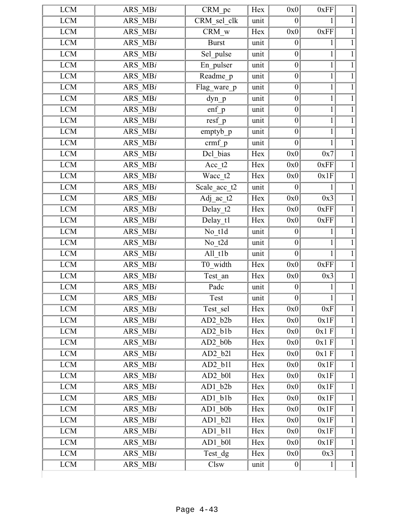|              | 0xFF         | 0x0                                      | Hex  | CRM pc                 | ARS MBi          | <b>LCM</b> |
|--------------|--------------|------------------------------------------|------|------------------------|------------------|------------|
| 1            |              | CRM sel clk<br>unit<br>$\theta$          |      | ARS MBi                | <b>LCM</b>       |            |
| $\mathbf{1}$ | 0xFF         | 0x0                                      | Hex  | $\rm CRM$ $\rm w$      | ARS MBi          | LCM        |
| $\mathbf{1}$ | 1            | <b>Burst</b><br>$\boldsymbol{0}$<br>unit |      | ARS MBi                | <b>LCM</b>       |            |
| $\mathbf{1}$ | 1            | Sel pulse<br>$\boldsymbol{0}$<br>unit    |      | ARS MBi                | LCM              |            |
| $\mathbf{1}$ | 1            | $\boldsymbol{0}$                         | unit | En_pulser              | ARS MBi          | <b>LCM</b> |
| $\mathbf{1}$ | 1            | Readme p<br>$\boldsymbol{0}$<br>unit     |      | ARS MBi                | <b>LCM</b>       |            |
| $\mathbf{1}$ | $\mathbf{1}$ | $\boldsymbol{0}$                         | unit | Flag ware p            | ARS MBi          | <b>LCM</b> |
| $\mathbf{1}$ | $\mathbf{1}$ | $\boldsymbol{0}$                         | unit | dyn p                  | ARS MBi          | <b>LCM</b> |
| $\mathbf{1}$ | $\mathbf{1}$ | $\boldsymbol{0}$                         | unit | $enf_p$                | ARS MBi          | LCM        |
| $\mathbf{1}$ | $\mathbf{1}$ | $\boldsymbol{0}$                         | unit | resf p                 | ARS MBi          | <b>LCM</b> |
| $\mathbf{1}$ | 1            | $\boldsymbol{0}$                         | unit | emptyb_ $\overline{p}$ | ARS MBi          | LCM        |
| $\mathbf{1}$ | 1            | $\boldsymbol{0}$                         | unit | $crmf$ $p$             | ARS MBi          | <b>LCM</b> |
| $\mathbf{1}$ | 0x7          | 0x0                                      | Hex  | Dcl bias               | ARS MBi          | <b>LCM</b> |
| $\mathbf{1}$ | 0xFF         | 0x0                                      | Hex  | Acc t2                 | $ARS_\text{MB}i$ | LCM        |
| $\mathbf{1}$ | 0x1F         | 0x0                                      | Hex  | Wacc t2                | ARS MBi          | <b>LCM</b> |
| $\mathbf{1}$ |              | $\boldsymbol{0}$                         | unit | Scale acc t2           | ARS MBi          | <b>LCM</b> |
| $\mathbf{1}$ | 0x3          | 0x0                                      | Hex  | Adj ac t2              | ARS MBi          | <b>LCM</b> |
| $\mathbf{1}$ | 0xFF         | 0x0                                      | Hex  | Delay t2               | ARS MBi          | LCM        |
| $\mathbf{1}$ | 0xFF         | Delay_t1<br>Hex<br>0x0                   |      | ARS MBi                | <b>LCM</b>       |            |
| $\mathbf{1}$ |              | No tld<br>unit<br>$\theta$               |      | ARS MBi                | <b>LCM</b>       |            |
| $\mathbf{1}$ | 1            | No t2d<br>$\boldsymbol{0}$<br>unit       |      | ARS MBi                | LCM              |            |
| $\mathbf{1}$ | 1            | All tlb<br>unit<br>$\boldsymbol{0}$      |      | ARS MBi                | <b>LCM</b>       |            |
| $\mathbf{1}$ | 0xFF         | T0 width<br>0x0<br>Hex                   |      | ARS MBi                | <b>LCM</b>       |            |
| $\mathbf{1}$ | 0x3          | Hex<br>Test an<br>0x0                    |      | ARS MBi                | <b>LCM</b>       |            |
| $\mathbf{1}$ |              | Padc<br>$\boldsymbol{0}$<br>unit         |      | ARS MBi                | <b>LCM</b>       |            |
| $\mathbf{1}$ | 1            | Test<br>$\vert 0 \vert$<br>unit          |      | ARS MBi                | <b>LCM</b>       |            |
| $\mathbf{1}$ | 0xF          | Test sel<br>Hex<br>0x0                   |      | ARS MBi                | <b>LCM</b>       |            |
| $\mathbf{1}$ | 0x1F         | 0x0                                      | Hex  | $AD2_b2b$              | ARS MBi          | LCM        |
| $\mathbf{1}$ | $0x1$ F      | 0x0                                      | Hex  | AD2 blb                | ARS MBi          | LCM        |
| $\mathbf{1}$ | $0x1$ F      | 0x0                                      | Hex  | AD2 b0b                | ARS MBi          | LCM        |
| $\mathbf{1}$ | $0x1$ F      | 0x0                                      | Hex  | AD2 b2l                | ARS MBi          | <b>LCM</b> |
| 1            | 0x1F         | 0x0                                      | Hex  | AD2 b11                | ARS MBi          | <b>LCM</b> |
| $\mathbf{1}$ | 0x1F         | 0x0                                      | Hex  | $AD2_b01$              | ARS MBi          | LCM        |
| $\mathbf{1}$ | 0x1F         | 0x0                                      | Hex  | AD1 b2b                | ARS MBi          | LCM        |
| $\mathbf{1}$ | 0x1F         | 0x0                                      | Hex  | AD1 b1b                | ARS MBi          | LCM        |
| 1            | 0x1F         | 0x0                                      | Hex  | AD1 b0b                | ARS MBi          | <b>LCM</b> |
| $\mathbf{1}$ | 0x1F         | AD1 b2l<br>0x0<br>Hex                    |      | ARS MBi                | <b>LCM</b>       |            |
| 1            | 0x1F         | 0x0                                      | Hex  | AD1 b11                | ARS MBi          | <b>LCM</b> |
| 1            | 0x1F         | AD1 b0l<br>0x0<br>Hex                    |      | ARS MBi                | LCM              |            |
| $\mathbf{1}$ | 0x3          | Test_dg<br>0x0<br>Hex                    |      | ARS_MBi                | LCM              |            |
| $1\vert$     | 1            | 0                                        | unit | Clsw                   | ARS MBi          | <b>LCM</b> |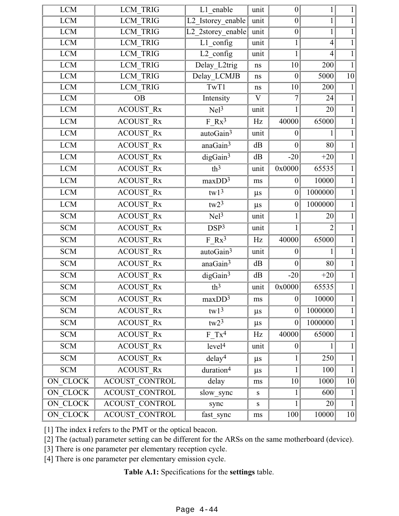| <b>LCM</b>                       | <b>LCM TRIG</b>       | L1 enable                                     | unit                   | $\boldsymbol{0}$ |                |                 |
|----------------------------------|-----------------------|-----------------------------------------------|------------------------|------------------|----------------|-----------------|
| <b>LCM</b>                       | <b>LCM TRIG</b>       | L2_Istorey_enable<br>unit<br>$\boldsymbol{0}$ |                        |                  |                |                 |
| <b>LCM</b>                       | <b>LCM TRIG</b>       | L2 2storey enable<br>unit                     |                        | $\boldsymbol{0}$ | 1              | $\mathbf{1}$    |
| LCM                              | <b>LCM TRIG</b>       | $L1$ config                                   | unit                   | $\mathbf{1}$     | $\overline{4}$ | $\overline{1}$  |
| <b>LCM</b>                       | <b>LCM TRIG</b>       | L2 config                                     | unit                   | $\mathbf{1}$     | 4              | $\overline{1}$  |
| LCM                              | <b>LCM TRIG</b>       | Delay_L2trig                                  | ns                     | 10               | 200            | $\mathbf{1}$    |
| LCM                              | <b>LCM TRIG</b>       | Delay LCMJB                                   | ns                     | $\boldsymbol{0}$ | 5000           | $\overline{10}$ |
| <b>LCM</b>                       | <b>LCM TRIG</b>       | TwT1                                          | ns                     | 10               | 200            | $\mathbf{1}$    |
| LCM                              | <b>OB</b>             | Intensity                                     | $\mathbf{V}$           | $\tau$           | 24             | $\mathbf{1}$    |
| <b>LCM</b>                       | <b>ACOUST Rx</b>      | Ne <sup>3</sup>                               | unit                   | $\mathbf{1}$     | 20             | $\mathbf{1}$    |
| LCM                              | <b>ACOUST Rx</b>      | $F Rx^3$                                      | Hz                     | 40000            | 65000          | $\mathbf{1}$    |
| LCM                              | <b>ACOUST Rx</b>      | autoGain <sup>3</sup>                         | unit                   | $\boldsymbol{0}$ |                | $\mathbf{1}$    |
| LCM                              | ACOUST_Rx             | anaGain <sup>3</sup>                          | dB                     | $\boldsymbol{0}$ | 80             | $\mathbf{1}$    |
| $\ensuremath{\text{LCM}}\xspace$ | ACOUST_Rx             | digGain <sup>3</sup>                          | dB                     | $-20$            | $+20$          | $\mathbf{1}$    |
| <b>LCM</b>                       | <b>ACOUST Rx</b>      | th <sup>3</sup>                               | 0x0000<br>unit         |                  | 65535          | $\mathbf{1}$    |
| $\ensuremath{\text{LCM}}\xspace$ | <b>ACOUST Rx</b>      | $maxDD^3$                                     | ms                     | $\boldsymbol{0}$ | 10000          | $\mathbf{1}$    |
| LCM                              | <b>ACOUST Rx</b>      | $tw1^{\overline{3}}$                          | $\mu s$                | $\boldsymbol{0}$ | 1000000        | $\mathbf{1}$    |
| <b>LCM</b>                       | <b>ACOUST Rx</b>      | tw2 <sup>3</sup>                              | $\mu s$                | $\boldsymbol{0}$ | 1000000        | $\mathbf{1}$    |
| <b>SCM</b>                       | <b>ACOUST Rx</b>      | Ne1 <sup>3</sup>                              | unit                   | 1                | 20             | $\mathbf{1}$    |
| <b>SCM</b>                       | <b>ACOUST Rx</b>      | DSP <sup>3</sup>                              | unit                   | $\mathbf{1}$     | 2              | $\mathbf{1}$    |
| <b>SCM</b>                       | <b>ACOUST Rx</b>      | $F Rx^3$                                      | Hz                     | 40000            | 65000          | $\mathbf{1}$    |
| <b>SCM</b>                       | <b>ACOUST Rx</b>      | autoGain <sup>3</sup>                         | unit                   | $\boldsymbol{0}$ |                | 1               |
| <b>SCM</b>                       | <b>ACOUST Rx</b>      | anaGain <sup>3</sup>                          | dB<br>$\boldsymbol{0}$ |                  | 80             | $\mathbf{1}$    |
| $\mbox{SCM}$                     | <b>ACOUST Rx</b>      | digGain <sup>3</sup>                          | dB                     | $-20$            | $+20$          | $\mathbf{1}$    |
| <b>SCM</b>                       | <b>ACOUST Rx</b>      | th <sup>3</sup>                               | unit                   | 0x0000           | 65535          | $\mathbf{1}$    |
| <b>SCM</b>                       | <b>ACOUST Rx</b>      | maxDD <sup>3</sup>                            | ms                     | $\boldsymbol{0}$ | 10000          |                 |
| <b>SCM</b>                       | <b>ACOUST Rx</b>      | tw1 <sup>3</sup>                              | $\mu$ s                | $\boldsymbol{0}$ | 1000000        |                 |
| <b>SCM</b>                       | <b>ACOUST Rx</b>      | tw2 <sup>3</sup>                              | $\mu$ s                | $\boldsymbol{0}$ | 1000000        | $\mathbf{1}$    |
| <b>SCM</b>                       | <b>ACOUST Rx</b>      | $F_{T}$ $Tx^4$                                | Hz                     | 40000            | 65000          | $\mathbf{1}$    |
| <b>SCM</b>                       | <b>ACOUST_Rx</b>      | level <sup>4</sup>                            | unit                   | $\boldsymbol{0}$ |                | $\mathbf{1}$    |
| <b>SCM</b>                       | <b>ACOUST Rx</b>      | delay <sup>4</sup>                            | $\mu$ s                | $\mathbf{1}$     | 250            | $\mathbf{1}$    |
| <b>SCM</b>                       | <b>ACOUST Rx</b>      | duration <sup>4</sup>                         | $\mu s$                | $\mathbf{1}$     | 100            | $\mathbf{1}$    |
| <b>ON CLOCK</b>                  | <b>ACOUST CONTROL</b> | delay                                         | ms                     | 10               | 1000           | 10              |
| ON CLOCK                         | <b>ACOUST CONTROL</b> | slow_sync                                     | ${\bf S}$              | 1                | 600            |                 |
| ON CLOCK                         | ACOUST_CONTROL        | sync                                          | S                      | $\mathbf{1}$     | 20             | $\mathbf{1}$    |
| ON CLOCK                         | ACOUST CONTROL        | fast_sync                                     | ms                     | 100              | 10000          | 10              |

[1] The index **i** refers to the PMT or the optical beacon.

[2] The (actual) parameter setting can be different for the ARSs on the same motherboard (device).

[3] There is one parameter per elementary reception cycle.

[4] There is one parameter per elementary emission cycle.

**Table A.1:** Specifications for the **settings** table.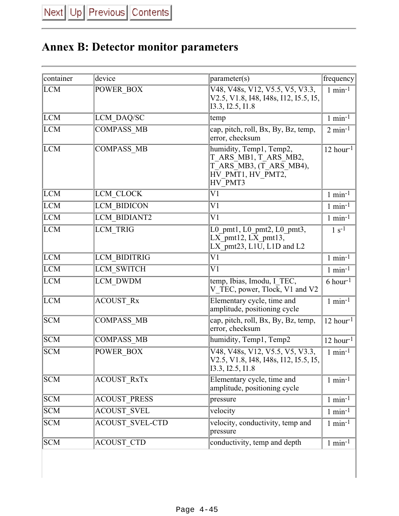# **Annex B: Detector monitor parameters**

| container  | device                 | parameter(s)                                                                                                | frequency               |
|------------|------------------------|-------------------------------------------------------------------------------------------------------------|-------------------------|
| LCM        | POWER BOX              | V48, V48s, V12, V5.5, V5, V3.3,<br>V2.5, V1.8, I48, I48s, I12, I5.5, I5,<br>13.3, 12.5, 11.8                | $1$ min <sup>-1</sup>   |
| <b>LCM</b> | LCM DAQ/SC             | temp                                                                                                        | $1$ min <sup>-1</sup>   |
| <b>LCM</b> | <b>COMPASS MB</b>      | cap, pitch, roll, Bx, By, Bz, temp,<br>error, checksum                                                      | $2 \text{ min}^{-1}$    |
| <b>LCM</b> | <b>COMPASS MB</b>      | humidity, Temp1, Temp2,<br>T ARS MB1, T ARS MB2,<br>T_ARS_MB3, (T_ARS_MB4),<br>HV_PMT1, HV_PMT2,<br>HV PMT3 | $12$ hour <sup>-1</sup> |
| <b>LCM</b> | LCM CLOCK              | V <sub>1</sub>                                                                                              | $1$ min <sup>-1</sup>   |
| LCM        | <b>LCM BIDICON</b>     | V <sub>1</sub>                                                                                              | $1$ min <sup>-1</sup>   |
| LCM        | <b>LCM BIDIANT2</b>    | V <sub>1</sub>                                                                                              | $1$ min <sup>-1</sup>   |
| <b>LCM</b> | <b>LCM TRIG</b>        | L0 pmt1, L0 pmt2, L0 pmt3,<br>LX pmt12, LX_pmt13,<br>LX pmt $23$ , L1U, L1D and L2                          | $1 s-1$                 |
| LCM        | LCM BIDITRIG           | V <sub>1</sub>                                                                                              | $1$ min <sup>-1</sup>   |
| LCM        | LCM SWITCH             | V <sub>1</sub>                                                                                              | $1$ min <sup>-1</sup>   |
| LCM        | LCM DWDM               | temp, Ibias, Imodu, I TEC,<br>V TEC, power, Tlock, V1 and V2                                                | $6$ hour <sup>-1</sup>  |
| LCM        | <b>ACOUST Rx</b>       | Elementary cycle, time and<br>amplitude, positioning cycle                                                  | $1$ min <sup>-1</sup>   |
| <b>SCM</b> | <b>COMPASS MB</b>      | cap, pitch, roll, Bx, By, Bz, temp,<br>error, checksum                                                      | $12$ hour <sup>-1</sup> |
| <b>SCM</b> | <b>COMPASS MB</b>      | humidity, Temp1, Temp2                                                                                      | $12$ hour <sup>-1</sup> |
| <b>SCM</b> | POWER BOX              | V48, V48s, V12, V5.5, V5, V3.3,<br>V2.5, V1.8, I48, I48s, I12, I5.5, I5,<br>13.3, 12.5, 11.8                | $1$ min <sup>-1</sup>   |
| <b>SCM</b> | <b>ACOUST_RxTx</b>     | Elementary cycle, time and<br>amplitude, positioning cycle                                                  | $1$ min <sup>-1</sup>   |
| <b>SCM</b> | <b>ACOUST PRESS</b>    | pressure                                                                                                    | $1$ min <sup>-1</sup>   |
| <b>SCM</b> | <b>ACOUST SVEL</b>     | velocity                                                                                                    | $1$ min <sup>-1</sup>   |
| <b>SCM</b> | <b>ACOUST SVEL-CTD</b> | velocity, conductivity, temp and<br>pressure                                                                | $1$ min <sup>-1</sup>   |
| <b>SCM</b> | <b>ACOUST CTD</b>      | conductivity, temp and depth                                                                                | $1$ min <sup>-1</sup>   |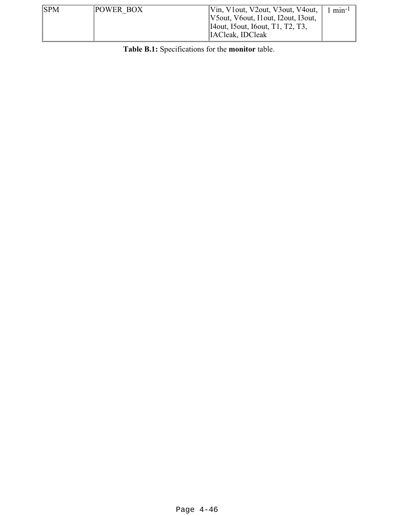| <b>SPM</b><br><b>POWER BOX</b> | $\lvert$ Vin, V1 out, V2 out, V3 out, V4 out, $\lvert$<br>[V5out, V6out, I1out, I2out, I3out,<br>[I4out, I5out, I6out, T1, T2, T3,<br>IACleak, IDCleak | $\frac{1}{2}$ min <sup>-1</sup> |
|--------------------------------|--------------------------------------------------------------------------------------------------------------------------------------------------------|---------------------------------|
|--------------------------------|--------------------------------------------------------------------------------------------------------------------------------------------------------|---------------------------------|

**Table B.1:** Specifications for the **monitor** table.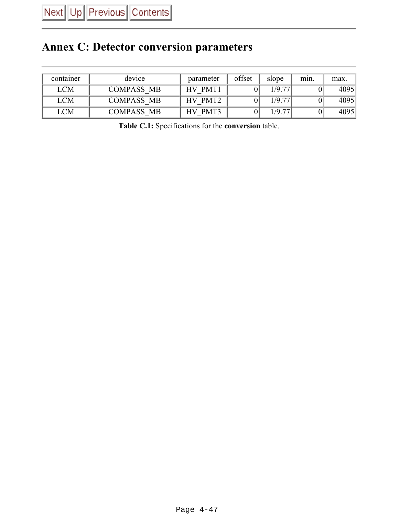# **Annex C: Detector conversion parameters**

| container  | device            | parameter           | offset | slope   | min. | max. |
|------------|-------------------|---------------------|--------|---------|------|------|
| <b>LCM</b> | <b>COMPASS MB</b> | HV PMT1             |        | 1/9.77  |      | 4095 |
| <b>LCM</b> | <b>COMPASS MB</b> | HV PMT <sub>2</sub> |        | 1/9.77' |      | 4095 |
| <b>LCM</b> | <b>COMPASS MB</b> | HV PMT3             |        | 1/9.77  |      | 4095 |

**Table C.1:** Specifications for the **conversion** table.